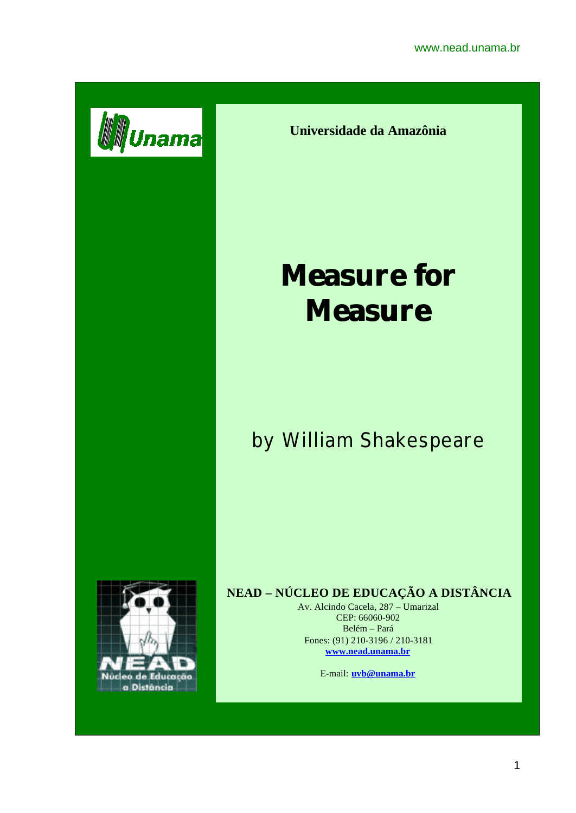

**Universidade da Amazônia**

# **Measure for Measure**

## by William Shakespeare



### **NEAD – NÚCLEO DE EDUCAÇÃO A DISTÂNCIA**

Av. Alcindo Cacela, 287 – Umarizal CEP: 66060-902 Belém – Pará Fones: (91) 210-3196 / 210-3181 **www.nead.unama.br**

E-mail: **uvb@unama.br**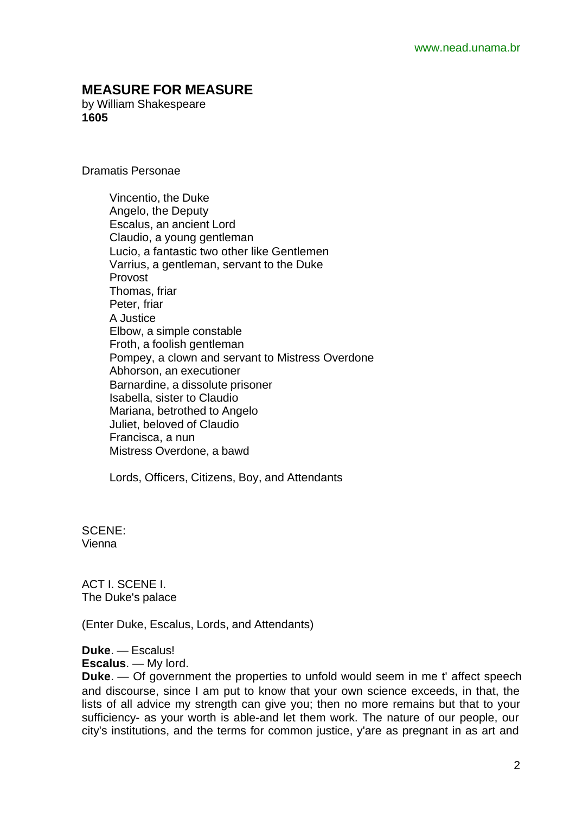#### **MEASURE FOR MEASURE**

by William Shakespeare **1605**

Dramatis Personae

Vincentio, the Duke Angelo, the Deputy Escalus, an ancient Lord Claudio, a young gentleman Lucio, a fantastic two other like Gentlemen Varrius, a gentleman, servant to the Duke Provost Thomas, friar Peter, friar A Justice Elbow, a simple constable Froth, a foolish gentleman Pompey, a clown and servant to Mistress Overdone Abhorson, an executioner Barnardine, a dissolute prisoner Isabella, sister to Claudio Mariana, betrothed to Angelo Juliet, beloved of Claudio Francisca, a nun Mistress Overdone, a bawd

Lords, Officers, Citizens, Boy, and Attendants

SCENE: Vienna

ACT I. SCENE I. The Duke's palace

(Enter Duke, Escalus, Lords, and Attendants)

**Duke**. — Escalus!

**Escalus**. — My lord.

**Duke**. — Of government the properties to unfold would seem in me t' affect speech and discourse, since I am put to know that your own science exceeds, in that, the lists of all advice my strength can give you; then no more remains but that to your sufficiency- as your worth is able-and let them work. The nature of our people, our city's institutions, and the terms for common justice, y'are as pregnant in as art and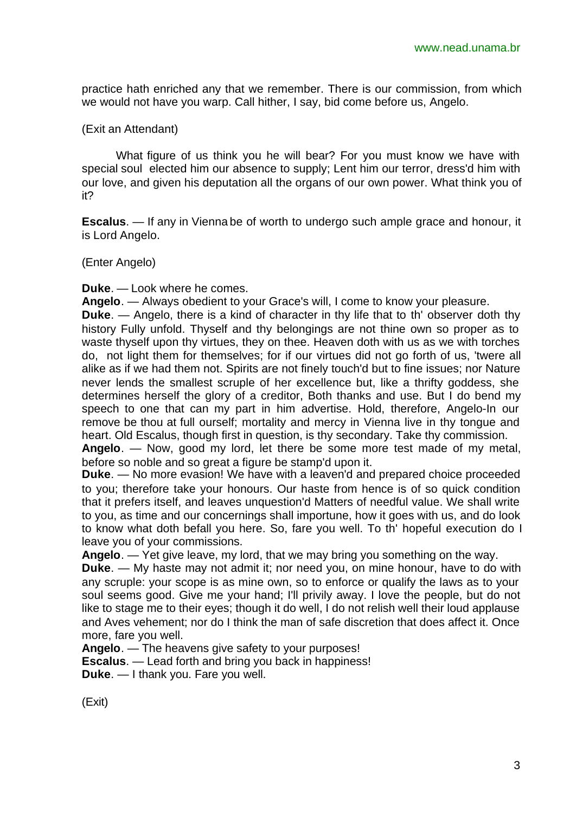practice hath enriched any that we remember. There is our commission, from which we would not have you warp. Call hither, I say, bid come before us, Angelo.

#### (Exit an Attendant)

What figure of us think you he will bear? For you must know we have with special soul elected him our absence to supply; Lent him our terror, dress'd him with our love, and given his deputation all the organs of our own power. What think you of it?

**Escalus**. — If any in Vienna be of worth to undergo such ample grace and honour, it is Lord Angelo.

#### (Enter Angelo)

**Duke**. — Look where he comes.

**Angelo**. — Always obedient to your Grace's will, I come to know your pleasure.

**Duke**. — Angelo, there is a kind of character in thy life that to th' observer doth thy history Fully unfold. Thyself and thy belongings are not thine own so proper as to waste thyself upon thy virtues, they on thee. Heaven doth with us as we with torches do, not light them for themselves; for if our virtues did not go forth of us, 'twere all alike as if we had them not. Spirits are not finely touch'd but to fine issues; nor Nature never lends the smallest scruple of her excellence but, like a thrifty goddess, she determines herself the glory of a creditor, Both thanks and use. But I do bend my speech to one that can my part in him advertise. Hold, therefore, Angelo-In our remove be thou at full ourself; mortality and mercy in Vienna live in thy tongue and heart. Old Escalus, though first in question, is thy secondary. Take thy commission.

**Angelo**. — Now, good my lord, let there be some more test made of my metal, before so noble and so great a figure be stamp'd upon it.

**Duke**. — No more evasion! We have with a leaven'd and prepared choice proceeded to you; therefore take your honours. Our haste from hence is of so quick condition that it prefers itself, and leaves unquestion'd Matters of needful value. We shall write to you, as time and our concernings shall importune, how it goes with us, and do look to know what doth befall you here. So, fare you well. To th' hopeful execution do I leave you of your commissions.

**Angelo**. — Yet give leave, my lord, that we may bring you something on the way.

**Duke**. — My haste may not admit it; nor need you, on mine honour, have to do with any scruple: your scope is as mine own, so to enforce or qualify the laws as to your soul seems good. Give me your hand; I'll privily away. I love the people, but do not like to stage me to their eyes; though it do well, I do not relish well their loud applause and Aves vehement; nor do I think the man of safe discretion that does affect it. Once more, fare you well.

**Angelo**. — The heavens give safety to your purposes!

**Escalus**. — Lead forth and bring you back in happiness!

**Duke**. — I thank you. Fare you well.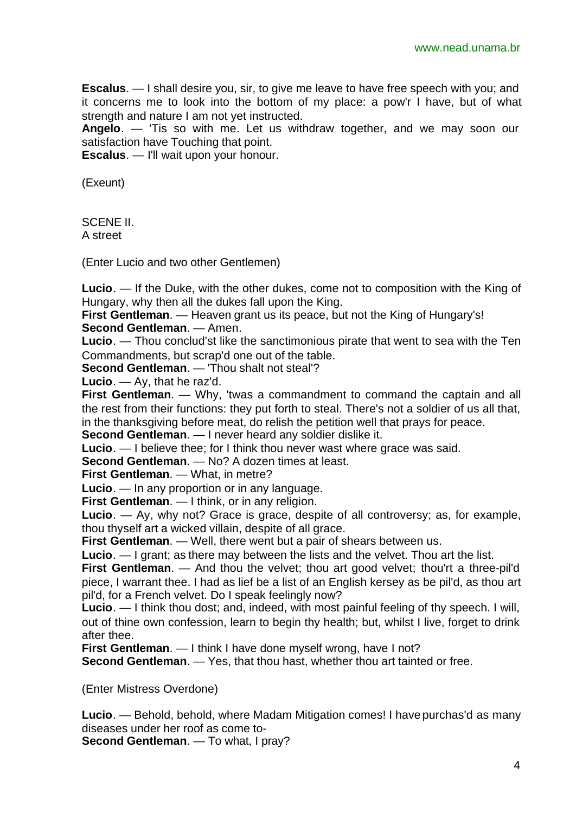**Escalus**. — I shall desire you, sir, to give me leave to have free speech with you; and it concerns me to look into the bottom of my place: a pow'r I have, but of what strength and nature I am not yet instructed.

**Angelo**. — 'Tis so with me. Let us withdraw together, and we may soon our satisfaction have Touching that point.

**Escalus**. — I'll wait upon your honour.

(Exeunt)

SCENE II. A street

(Enter Lucio and two other Gentlemen)

**Lucio**. — If the Duke, with the other dukes, come not to composition with the King of Hungary, why then all the dukes fall upon the King.

**First Gentleman**. — Heaven grant us its peace, but not the King of Hungary's! **Second Gentleman**. — Amen.

**Lucio**. — Thou conclud'st like the sanctimonious pirate that went to sea with the Ten Commandments, but scrap'd one out of the table.

**Second Gentleman**. — 'Thou shalt not steal'?

**Lucio**. — Ay, that he raz'd.

First Gentleman. — Why, 'twas a commandment to command the captain and all the rest from their functions: they put forth to steal. There's not a soldier of us all that, in the thanksgiving before meat, do relish the petition well that prays for peace.

**Second Gentleman**. — I never heard any soldier dislike it.

**Lucio**. — I believe thee; for I think thou never wast where grace was said.

**Second Gentleman**. — No? A dozen times at least.

**First Gentleman**. — What, in metre?

**Lucio**. — In any proportion or in any language.

**First Gentleman**. — I think, or in any religion.

**Lucio**. — Ay, why not? Grace is grace, despite of all controversy; as, for example, thou thyself art a wicked villain, despite of all grace.

**First Gentleman**. — Well, there went but a pair of shears between us.

**Lucio**. — I grant; as there may between the lists and the velvet. Thou art the list.

**First Gentleman.** — And thou the velvet; thou art good velvet; thou'rt a three-pil'd piece, I warrant thee. I had as lief be a list of an English kersey as be pil'd, as thou art pil'd, for a French velvet. Do I speak feelingly now?

**Lucio**. — I think thou dost; and, indeed, with most painful feeling of thy speech. I will, out of thine own confession, learn to begin thy health; but, whilst I live, forget to drink after thee.

**First Gentleman**. — I think I have done myself wrong, have I not?

**Second Gentleman**. — Yes, that thou hast, whether thou art tainted or free.

(Enter Mistress Overdone)

**Lucio**. — Behold, behold, where Madam Mitigation comes! I have purchas'd as many diseases under her roof as come to-

**Second Gentleman**. — To what, I pray?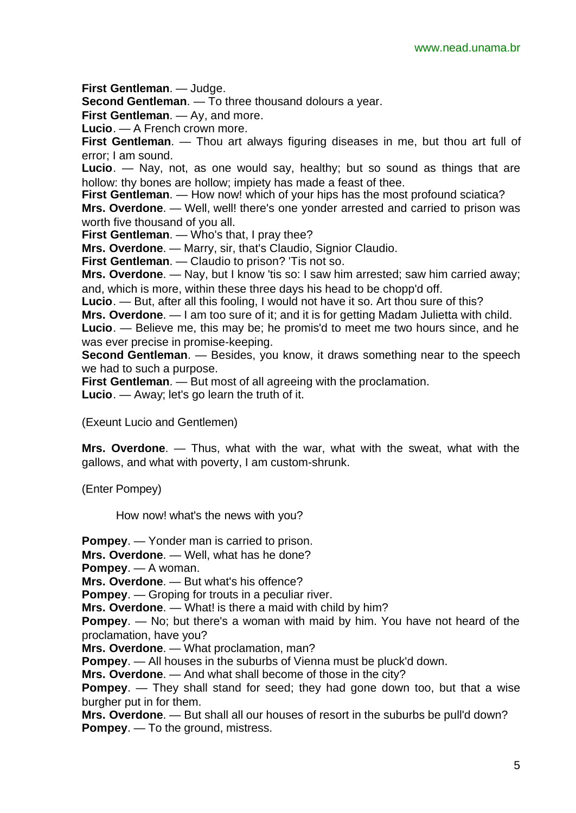**First Gentleman**. — Judge.

**Second Gentleman**. — To three thousand dolours a year.

**First Gentleman**. — Ay, and more.

**Lucio**. — A French crown more.

**First Gentleman**. — Thou art always figuring diseases in me, but thou art full of error; I am sound.

**Lucio**. — Nay, not, as one would say, healthy; but so sound as things that are hollow: thy bones are hollow; impiety has made a feast of thee.

**First Gentleman.** — How now! which of your hips has the most profound sciatica?

**Mrs. Overdone**. — Well, well! there's one yonder arrested and carried to prison was worth five thousand of you all.

**First Gentleman**. — Who's that, I pray thee?

**Mrs. Overdone**. — Marry, sir, that's Claudio, Signior Claudio.

**First Gentleman**. — Claudio to prison? 'Tis not so.

**Mrs. Overdone**. — Nay, but I know 'tis so: I saw him arrested; saw him carried away; and, which is more, within these three days his head to be chopp'd off.

**Lucio**. — But, after all this fooling, I would not have it so. Art thou sure of this?

**Mrs. Overdone**. — I am too sure of it; and it is for getting Madam Julietta with child.

**Lucio**. — Believe me, this may be; he promis'd to meet me two hours since, and he was ever precise in promise-keeping.

**Second Gentleman**. — Besides, you know, it draws something near to the speech we had to such a purpose.

**First Gentleman**. — But most of all agreeing with the proclamation.

**Lucio**. — Away; let's go learn the truth of it.

(Exeunt Lucio and Gentlemen)

**Mrs. Overdone**. — Thus, what with the war, what with the sweat, what with the gallows, and what with poverty, I am custom-shrunk.

(Enter Pompey)

How now! what's the news with you?

**Pompey**. — Yonder man is carried to prison.

**Mrs. Overdone**. — Well, what has he done?

**Pompey**. — A woman.

**Mrs. Overdone**. — But what's his offence?

**Pompey**. — Groping for trouts in a peculiar river.

**Mrs. Overdone**. — What! is there a maid with child by him?

**Pompey**. — No; but there's a woman with maid by him. You have not heard of the proclamation, have you?

**Mrs. Overdone**. — What proclamation, man?

**Pompey**. — All houses in the suburbs of Vienna must be pluck'd down.

**Mrs. Overdone**. — And what shall become of those in the city?

**Pompey**. — They shall stand for seed; they had gone down too, but that a wise burgher put in for them.

**Mrs. Overdone**. — But shall all our houses of resort in the suburbs be pull'd down? **Pompey**. — To the ground, mistress.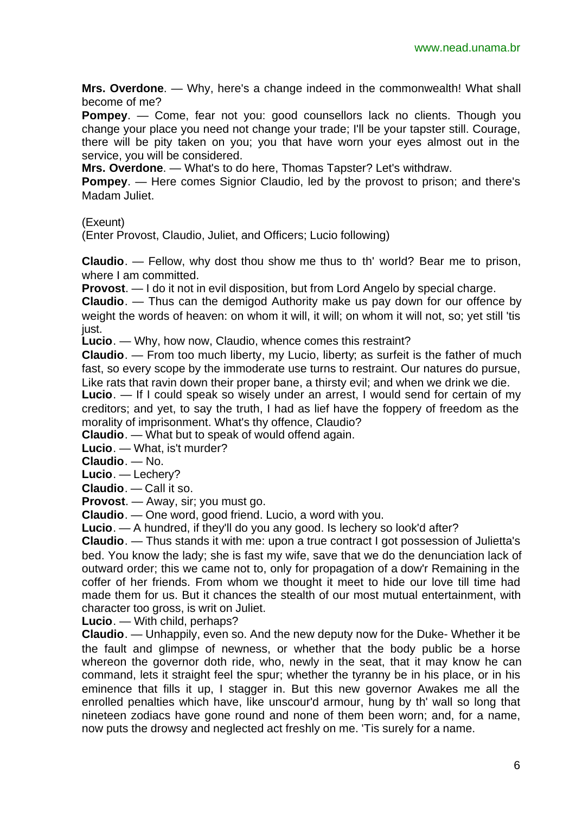**Mrs. Overdone**. — Why, here's a change indeed in the commonwealth! What shall become of me?

**Pompey.** — Come, fear not you: good counsellors lack no clients. Though you change your place you need not change your trade; I'll be your tapster still. Courage, there will be pity taken on you; you that have worn your eyes almost out in the service, you will be considered.

**Mrs. Overdone**. — What's to do here, Thomas Tapster? Let's withdraw.

**Pompey**. — Here comes Signior Claudio, led by the provost to prison; and there's Madam Juliet.

(Exeunt)

(Enter Provost, Claudio, Juliet, and Officers; Lucio following)

**Claudio**. — Fellow, why dost thou show me thus to th' world? Bear me to prison, where I am committed.

**Provost**. — I do it not in evil disposition, but from Lord Angelo by special charge.

**Claudio**. — Thus can the demigod Authority make us pay down for our offence by weight the words of heaven: on whom it will, it will; on whom it will not, so; yet still 'tis just.

**Lucio**. — Why, how now, Claudio, whence comes this restraint?

**Claudio**. — From too much liberty, my Lucio, liberty; as surfeit is the father of much fast, so every scope by the immoderate use turns to restraint. Our natures do pursue, Like rats that ravin down their proper bane, a thirsty evil; and when we drink we die.

**Lucio**. — If I could speak so wisely under an arrest, I would send for certain of my creditors; and yet, to say the truth, I had as lief have the foppery of freedom as the morality of imprisonment. What's thy offence, Claudio?

**Claudio**. — What but to speak of would offend again.

**Lucio**. — What, is't murder?

**Claudio**. — No.

**Lucio**. — Lechery?

**Claudio**. — Call it so.

**Provost**. — Away, sir; you must go.

**Claudio**. — One word, good friend. Lucio, a word with you.

**Lucio**. — A hundred, if they'll do you any good. Is lechery so look'd after?

**Claudio**. — Thus stands it with me: upon a true contract I got possession of Julietta's bed. You know the lady; she is fast my wife, save that we do the denunciation lack of outward order; this we came not to, only for propagation of a dow'r Remaining in the coffer of her friends. From whom we thought it meet to hide our love till time had made them for us. But it chances the stealth of our most mutual entertainment, with character too gross, is writ on Juliet.

**Lucio**. — With child, perhaps?

**Claudio**. — Unhappily, even so. And the new deputy now for the Duke- Whether it be the fault and glimpse of newness, or whether that the body public be a horse whereon the governor doth ride, who, newly in the seat, that it may know he can command, lets it straight feel the spur; whether the tyranny be in his place, or in his eminence that fills it up, I stagger in. But this new governor Awakes me all the enrolled penalties which have, like unscour'd armour, hung by th' wall so long that nineteen zodiacs have gone round and none of them been worn; and, for a name, now puts the drowsy and neglected act freshly on me. 'Tis surely for a name.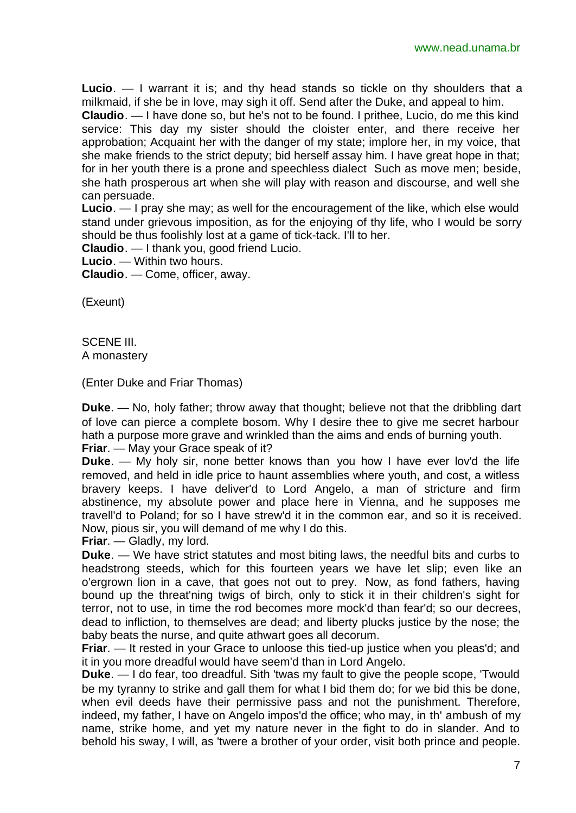**Lucio**. — I warrant it is; and thy head stands so tickle on thy shoulders that a milkmaid, if she be in love, may sigh it off. Send after the Duke, and appeal to him.

**Claudio**. — I have done so, but he's not to be found. I prithee, Lucio, do me this kind service: This day my sister should the cloister enter, and there receive her approbation; Acquaint her with the danger of my state; implore her, in my voice, that she make friends to the strict deputy; bid herself assay him. I have great hope in that; for in her youth there is a prone and speechless dialect Such as move men; beside, she hath prosperous art when she will play with reason and discourse, and well she can persuade.

**Lucio**. — I pray she may; as well for the encouragement of the like, which else would stand under grievous imposition, as for the enjoying of thy life, who I would be sorry should be thus foolishly lost at a game of tick-tack. I'll to her.

**Claudio**. — I thank you, good friend Lucio.

**Lucio**. — Within two hours.

**Claudio**. — Come, officer, away.

(Exeunt)

SCENE III. A monastery

(Enter Duke and Friar Thomas)

**Duke**. — No, holy father; throw away that thought; believe not that the dribbling dart of love can pierce a complete bosom. Why I desire thee to give me secret harbour hath a purpose more grave and wrinkled than the aims and ends of burning youth. **Friar**. — May your Grace speak of it?

**Duke**. — My holy sir, none better knows than you how I have ever lov'd the life removed, and held in idle price to haunt assemblies where youth, and cost, a witless bravery keeps. I have deliver'd to Lord Angelo, a man of stricture and firm abstinence, my absolute power and place here in Vienna, and he supposes me travell'd to Poland; for so I have strew'd it in the common ear, and so it is received. Now, pious sir, you will demand of me why I do this.

**Friar**. — Gladly, my lord.

**Duke**. — We have strict statutes and most biting laws, the needful bits and curbs to headstrong steeds, which for this fourteen years we have let slip; even like an o'ergrown lion in a cave, that goes not out to prey. Now, as fond fathers, having bound up the threat'ning twigs of birch, only to stick it in their children's sight for terror, not to use, in time the rod becomes more mock'd than fear'd; so our decrees, dead to infliction, to themselves are dead; and liberty plucks justice by the nose; the baby beats the nurse, and quite athwart goes all decorum.

**Friar.** — It rested in your Grace to unloose this tied-up justice when you pleas'd; and it in you more dreadful would have seem'd than in Lord Angelo.

**Duke**. — I do fear, too dreadful. Sith 'twas my fault to give the people scope, 'Twould be my tyranny to strike and gall them for what I bid them do; for we bid this be done, when evil deeds have their permissive pass and not the punishment. Therefore, indeed, my father, I have on Angelo impos'd the office; who may, in th' ambush of my name, strike home, and yet my nature never in the fight to do in slander. And to behold his sway, I will, as 'twere a brother of your order, visit both prince and people.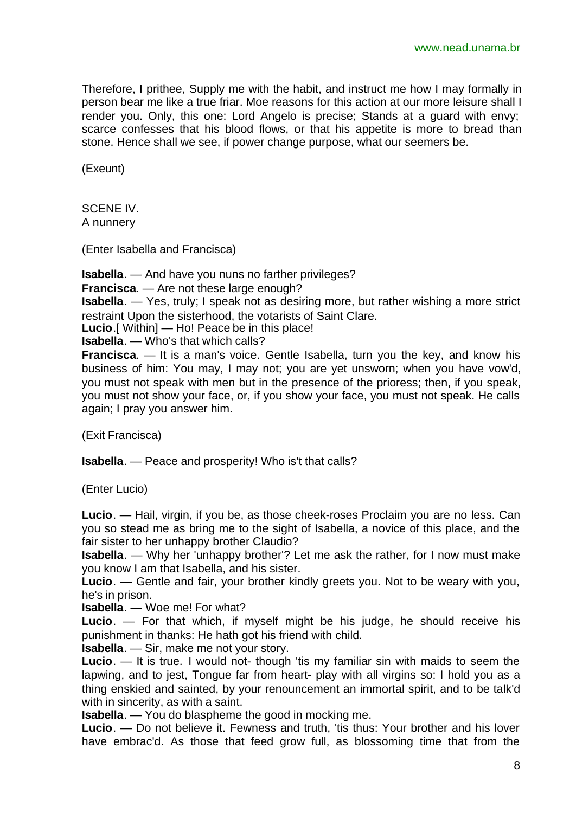Therefore, I prithee, Supply me with the habit, and instruct me how I may formally in person bear me like a true friar. Moe reasons for this action at our more leisure shall I render you. Only, this one: Lord Angelo is precise; Stands at a guard with envy; scarce confesses that his blood flows, or that his appetite is more to bread than stone. Hence shall we see, if power change purpose, what our seemers be.

(Exeunt)

SCENE IV. A nunnery

(Enter Isabella and Francisca)

**Isabella**. — And have you nuns no farther privileges?

**Francisca**. — Are not these large enough?

**Isabella**. — Yes, truly; I speak not as desiring more, but rather wishing a more strict restraint Upon the sisterhood, the votarists of Saint Clare.

**Lucio**.[ Within] — Ho! Peace be in this place!

**Isabella**. — Who's that which calls?

**Francisca.** — It is a man's voice. Gentle Isabella, turn you the key, and know his business of him: You may, I may not; you are yet unsworn; when you have vow'd, you must not speak with men but in the presence of the prioress; then, if you speak, you must not show your face, or, if you show your face, you must not speak. He calls again; I pray you answer him.

(Exit Francisca)

**Isabella**. — Peace and prosperity! Who is't that calls?

(Enter Lucio)

**Lucio**. — Hail, virgin, if you be, as those cheek-roses Proclaim you are no less. Can you so stead me as bring me to the sight of Isabella, a novice of this place, and the fair sister to her unhappy brother Claudio?

**Isabella**. — Why her 'unhappy brother'? Let me ask the rather, for I now must make you know I am that Isabella, and his sister.

**Lucio**. — Gentle and fair, your brother kindly greets you. Not to be weary with you, he's in prison.

**Isabella**. — Woe me! For what?

**Lucio**. — For that which, if myself might be his judge, he should receive his punishment in thanks: He hath got his friend with child.

**Isabella**. — Sir, make me not your story.

**Lucio**. — It is true. I would not- though 'tis my familiar sin with maids to seem the lapwing, and to jest, Tongue far from heart- play with all virgins so: I hold you as a thing enskied and sainted, by your renouncement an immortal spirit, and to be talk'd with in sincerity, as with a saint.

**Isabella**. — You do blaspheme the good in mocking me.

**Lucio**. — Do not believe it. Fewness and truth, 'tis thus: Your brother and his lover have embrac'd. As those that feed grow full, as blossoming time that from the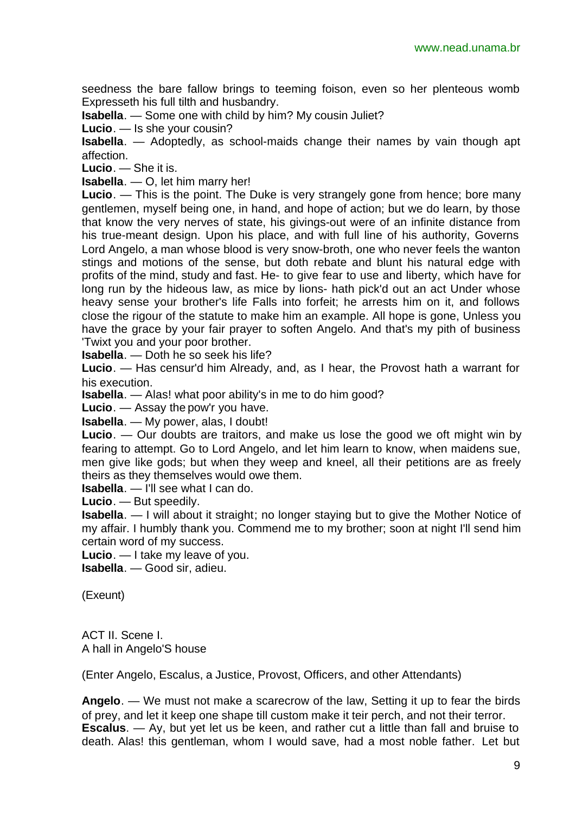seedness the bare fallow brings to teeming foison, even so her plenteous womb Expresseth his full tilth and husbandry.

**Isabella**. — Some one with child by him? My cousin Juliet?

**Lucio**. — Is she your cousin?

**Isabella**. — Adoptedly, as school-maids change their names by vain though apt affection.

**Lucio**. — She it is.

**Isabella**. — O, let him marry her!

**Lucio**. — This is the point. The Duke is very strangely gone from hence; bore many gentlemen, myself being one, in hand, and hope of action; but we do learn, by those that know the very nerves of state, his givings-out were of an infinite distance from his true-meant design. Upon his place, and with full line of his authority, Governs Lord Angelo, a man whose blood is very snow-broth, one who never feels the wanton stings and motions of the sense, but doth rebate and blunt his natural edge with profits of the mind, study and fast. He- to give fear to use and liberty, which have for long run by the hideous law, as mice by lions- hath pick'd out an act Under whose heavy sense your brother's life Falls into forfeit; he arrests him on it, and follows close the rigour of the statute to make him an example. All hope is gone, Unless you have the grace by your fair prayer to soften Angelo. And that's my pith of business 'Twixt you and your poor brother.

**Isabella**. — Doth he so seek his life?

**Lucio**. — Has censur'd him Already, and, as I hear, the Provost hath a warrant for his execution.

**Isabella**. — Alas! what poor ability's in me to do him good?

**Lucio**. — Assay the pow'r you have.

**Isabella**. — My power, alas, I doubt!

**Lucio**. — Our doubts are traitors, and make us lose the good we oft might win by fearing to attempt. Go to Lord Angelo, and let him learn to know, when maidens sue, men give like gods; but when they weep and kneel, all their petitions are as freely theirs as they themselves would owe them.

**Isabella**. — I'll see what I can do.

**Lucio**. — But speedily.

**Isabella**. — I will about it straight; no longer staying but to give the Mother Notice of my affair. I humbly thank you. Commend me to my brother; soon at night I'll send him certain word of my success.

**Lucio**. — I take my leave of you.

**Isabella**. — Good sir, adieu.

(Exeunt)

ACT II. Scene I. A hall in Angelo'S house

(Enter Angelo, Escalus, a Justice, Provost, Officers, and other Attendants)

**Angelo**. — We must not make a scarecrow of the law, Setting it up to fear the birds of prey, and let it keep one shape till custom make it teir perch, and not their terror. **Escalus**. — Ay, but yet let us be keen, and rather cut a little than fall and bruise to death. Alas! this gentleman, whom I would save, had a most noble father. Let but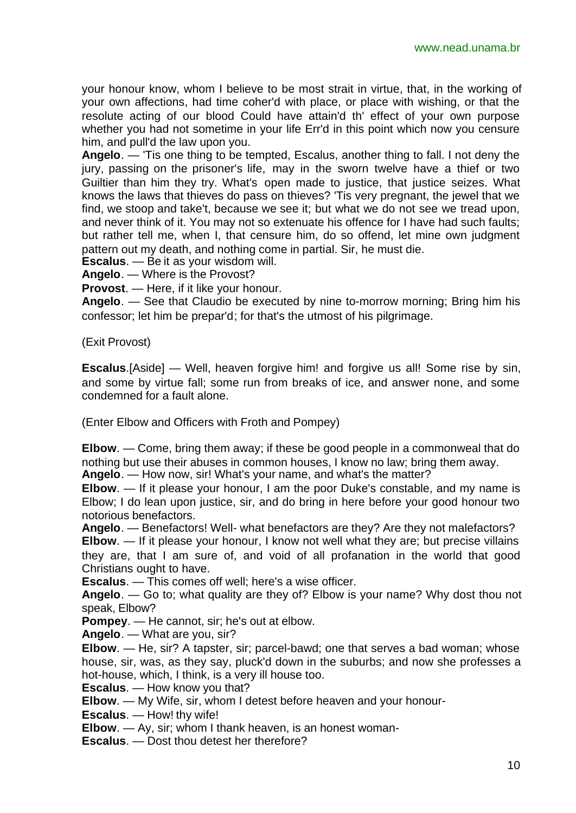your honour know, whom I believe to be most strait in virtue, that, in the working of your own affections, had time coher'd with place, or place with wishing, or that the resolute acting of our blood Could have attain'd th' effect of your own purpose whether you had not sometime in your life Err'd in this point which now you censure him, and pull'd the law upon you.

**Angelo**. — 'Tis one thing to be tempted, Escalus, another thing to fall. I not deny the jury, passing on the prisoner's life, may in the sworn twelve have a thief or two Guiltier than him they try. What's open made to justice, that justice seizes. What knows the laws that thieves do pass on thieves? 'Tis very pregnant, the jewel that we find, we stoop and take't, because we see it; but what we do not see we tread upon, and never think of it. You may not so extenuate his offence for I have had such faults; but rather tell me, when I, that censure him, do so offend, let mine own judgment pattern out my death, and nothing come in partial. Sir, he must die.

**Escalus**. — Be it as your wisdom will.

**Angelo**. — Where is the Provost?

**Provost**. — Here, if it like your honour.

**Angelo**. — See that Claudio be executed by nine to-morrow morning; Bring him his confessor; let him be prepar'd; for that's the utmost of his pilgrimage.

#### (Exit Provost)

**Escalus**.[Aside] — Well, heaven forgive him! and forgive us all! Some rise by sin, and some by virtue fall; some run from breaks of ice, and answer none, and some condemned for a fault alone.

(Enter Elbow and Officers with Froth and Pompey)

**Elbow**. — Come, bring them away; if these be good people in a commonweal that do nothing but use their abuses in common houses, I know no law; bring them away.

**Angelo**. — How now, sir! What's your name, and what's the matter?

**Elbow**. — If it please your honour, I am the poor Duke's constable, and my name is Elbow; I do lean upon justice, sir, and do bring in here before your good honour two notorious benefactors.

**Angelo**. — Benefactors! Well- what benefactors are they? Are they not malefactors?

**Elbow**. — If it please your honour, I know not well what they are; but precise villains they are, that I am sure of, and void of all profanation in the world that good Christians ought to have.

**Escalus**. — This comes off well; here's a wise officer.

**Angelo**. — Go to; what quality are they of? Elbow is your name? Why dost thou not speak, Elbow?

**Pompey**. — He cannot, sir; he's out at elbow.

**Angelo**. — What are you, sir?

**Elbow**. — He, sir? A tapster, sir; parcel-bawd; one that serves a bad woman; whose house, sir, was, as they say, pluck'd down in the suburbs; and now she professes a hot-house, which, I think, is a very ill house too.

**Escalus**. — How know you that?

**Elbow**. — My Wife, sir, whom I detest before heaven and your honour-

**Escalus**. — How! thy wife!

**Elbow**. — Ay, sir; whom I thank heaven, is an honest woman-

**Escalus**. — Dost thou detest her therefore?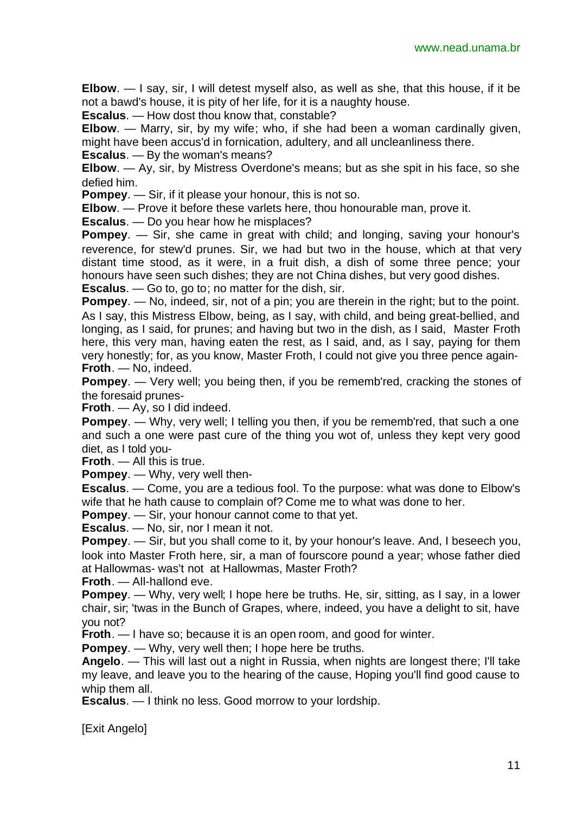**Elbow**. — I say, sir, I will detest myself also, as well as she, that this house, if it be not a bawd's house, it is pity of her life, for it is a naughty house.

**Escalus**. — How dost thou know that, constable?

**Elbow**. — Marry, sir, by my wife; who, if she had been a woman cardinally given, might have been accus'd in fornication, adultery, and all uncleanliness there.

**Escalus**. — By the woman's means?

**Elbow**. — Ay, sir, by Mistress Overdone's means; but as she spit in his face, so she defied him.

**Pompey**. — Sir, if it please your honour, this is not so.

**Elbow**. — Prove it before these varlets here, thou honourable man, prove it.

**Escalus**. — Do you hear how he misplaces?

**Pompey**. — Sir, she came in great with child; and longing, saving your honour's reverence, for stew'd prunes. Sir, we had but two in the house, which at that very distant time stood, as it were, in a fruit dish, a dish of some three pence; your honours have seen such dishes; they are not China dishes, but very good dishes. **Escalus**. — Go to, go to; no matter for the dish, sir.

**Pompey.** — No, indeed, sir, not of a pin; you are therein in the right; but to the point. As I say, this Mistress Elbow, being, as I say, with child, and being great-bellied, and longing, as I said, for prunes; and having but two in the dish, as I said, Master Froth here, this very man, having eaten the rest, as I said, and, as I say, paying for them very honestly; for, as you know, Master Froth, I could not give you three pence again-**Froth**. — No, indeed.

**Pompey.** — Very well; you being then, if you be rememb'red, cracking the stones of the foresaid prunes-

**Froth**. — Ay, so I did indeed.

**Pompey.** — Why, very well; I telling you then, if you be rememb'red, that such a one and such a one were past cure of the thing you wot of, unless they kept very good diet, as I told you-

**Froth**. — All this is true.

**Pompey**. — Why, very well then-

**Escalus**. — Come, you are a tedious fool. To the purpose: what was done to Elbow's wife that he hath cause to complain of? Come me to what was done to her.

**Pompey**. — Sir, your honour cannot come to that yet.

**Escalus**. — No, sir, nor I mean it not.

**Pompey**. — Sir, but you shall come to it, by your honour's leave. And, I beseech you, look into Master Froth here, sir, a man of fourscore pound a year; whose father died at Hallowmas- was't not at Hallowmas, Master Froth?

**Froth**. — All-hallond eve.

**Pompey**. — Why, very well; I hope here be truths. He, sir, sitting, as I say, in a lower chair, sir; 'twas in the Bunch of Grapes, where, indeed, you have a delight to sit, have you not?

**Froth**. — I have so; because it is an open room, and good for winter.

**Pompey**. — Why, very well then; I hope here be truths.

**Angelo**. — This will last out a night in Russia, when nights are longest there; I'll take my leave, and leave you to the hearing of the cause, Hoping you'll find good cause to whip them all.

**Escalus**. — I think no less. Good morrow to your lordship.

[Exit Angelo]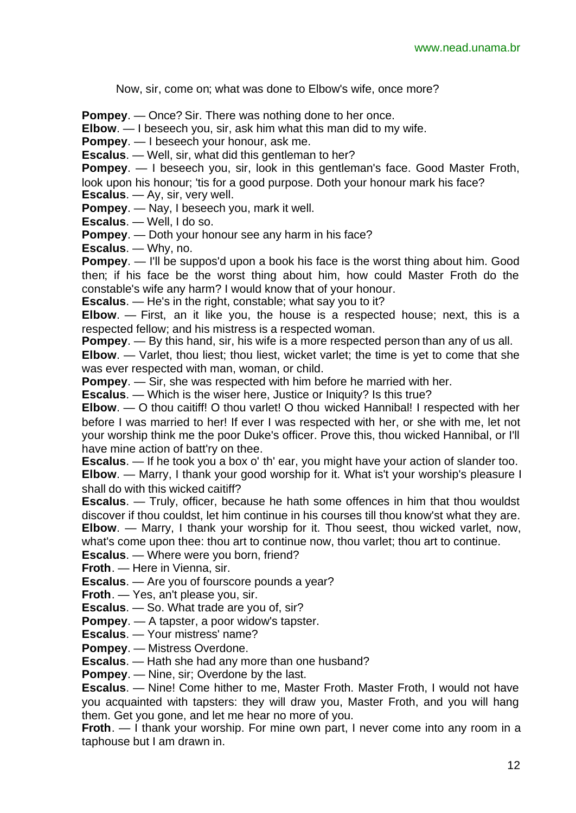Now, sir, come on; what was done to Elbow's wife, once more?

**Pompey**. — Once? Sir. There was nothing done to her once.

**Elbow**. — I beseech you, sir, ask him what this man did to my wife.

**Pompey**. — I beseech your honour, ask me.

**Escalus**. — Well, sir, what did this gentleman to her?

**Pompey**. — I beseech you, sir, look in this gentleman's face. Good Master Froth, look upon his honour; 'tis for a good purpose. Doth your honour mark his face?

**Escalus**. — Ay, sir, very well.

**Pompey**. — Nay, I beseech you, mark it well.

**Escalus**. — Well, I do so.

**Pompey**. — Doth your honour see any harm in his face?

**Escalus**. — Why, no.

**Pompey.** — I'll be suppos'd upon a book his face is the worst thing about him. Good then; if his face be the worst thing about him, how could Master Froth do the constable's wife any harm? I would know that of your honour.

**Escalus**. — He's in the right, constable; what say you to it?

**Elbow**. — First, an it like you, the house is a respected house; next, this is a respected fellow; and his mistress is a respected woman.

**Pompey**. — By this hand, sir, his wife is a more respected person than any of us all.

**Elbow.** — Varlet, thou liest; thou liest, wicket varlet; the time is yet to come that she was ever respected with man, woman, or child.

**Pompey**. — Sir, she was respected with him before he married with her.

**Escalus**. — Which is the wiser here, Justice or Iniquity? Is this true?

**Elbow.** — O thou caitiff! O thou varlet! O thou wicked Hannibal! I respected with her before I was married to her! If ever I was respected with her, or she with me, let not your worship think me the poor Duke's officer. Prove this, thou wicked Hannibal, or I'll have mine action of batt'ry on thee.

**Escalus**. — If he took you a box o' th' ear, you might have your action of slander too. **Elbow**. — Marry, I thank your good worship for it. What is't your worship's pleasure I

shall do with this wicked caitiff?

**Escalus**. — Truly, officer, because he hath some offences in him that thou wouldst discover if thou couldst, let him continue in his courses till thou know'st what they are.

**Elbow**. — Marry, I thank your worship for it. Thou seest, thou wicked varlet, now, what's come upon thee: thou art to continue now, thou varlet; thou art to continue.

**Escalus**. — Where were you born, friend?

**Froth**. — Here in Vienna, sir.

**Escalus**. — Are you of fourscore pounds a year?

**Froth**. — Yes, an't please you, sir.

**Escalus**. — So. What trade are you of, sir?

**Pompey**. — A tapster, a poor widow's tapster.

**Escalus**. — Your mistress' name?

**Pompey**. — Mistress Overdone.

**Escalus**. — Hath she had any more than one husband?

**Pompey**. — Nine, sir; Overdone by the last.

**Escalus**. — Nine! Come hither to me, Master Froth. Master Froth, I would not have you acquainted with tapsters: they will draw you, Master Froth, and you will hang them. Get you gone, and let me hear no more of you.

**Froth**. — I thank your worship. For mine own part, I never come into any room in a taphouse but I am drawn in.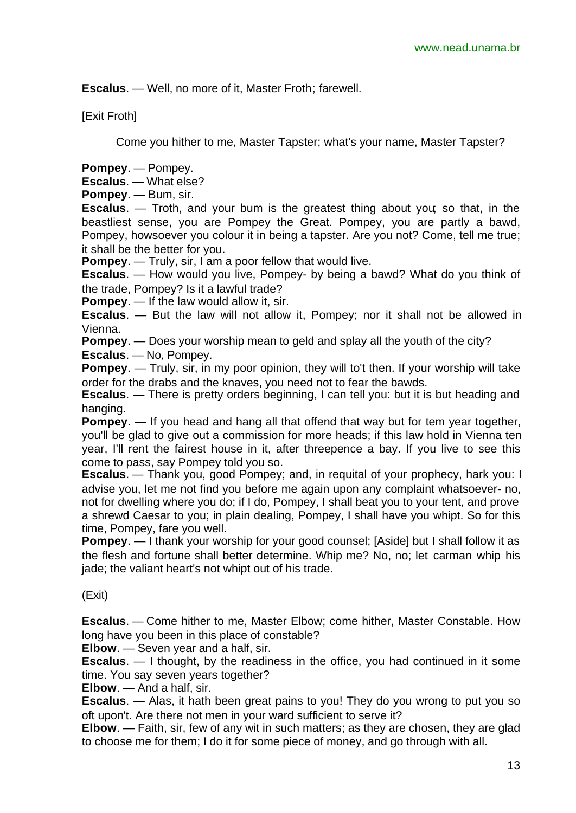**Escalus**. — Well, no more of it, Master Froth; farewell.

[Exit Froth]

Come you hither to me, Master Tapster; what's your name, Master Tapster?

**Pompey**. — Pompey.

**Escalus**. — What else?

**Pompey**. — Bum, sir.

**Escalus**. — Troth, and your bum is the greatest thing about you; so that, in the beastliest sense, you are Pompey the Great. Pompey, you are partly a bawd, Pompey, howsoever you colour it in being a tapster. Are you not? Come, tell me true; it shall be the better for you.

**Pompey**. — Truly, sir, I am a poor fellow that would live.

**Escalus**. — How would you live, Pompey- by being a bawd? What do you think of the trade, Pompey? Is it a lawful trade?

**Pompey**. — If the law would allow it, sir.

**Escalus**. — But the law will not allow it, Pompey; nor it shall not be allowed in Vienna.

**Pompey**. — Does your worship mean to geld and splay all the youth of the city?

**Escalus**. — No, Pompey.

**Pompey.** — Truly, sir, in my poor opinion, they will to't then. If your worship will take order for the drabs and the knaves, you need not to fear the bawds.

**Escalus**. — There is pretty orders beginning, I can tell you: but it is but heading and hanging.

**Pompey**. — If you head and hang all that offend that way but for tem year together, you'll be glad to give out a commission for more heads; if this law hold in Vienna ten year, I'll rent the fairest house in it, after threepence a bay. If you live to see this come to pass, say Pompey told you so.

**Escalus**. — Thank you, good Pompey; and, in requital of your prophecy, hark you: I advise you, let me not find you before me again upon any complaint whatsoever- no, not for dwelling where you do; if I do, Pompey, I shall beat you to your tent, and prove a shrewd Caesar to you; in plain dealing, Pompey, I shall have you whipt. So for this time, Pompey, fare you well.

**Pompey**. — I thank your worship for your good counsel; [Aside] but I shall follow it as the flesh and fortune shall better determine. Whip me? No, no; let carman whip his jade; the valiant heart's not whipt out of his trade.

(Exit)

**Escalus**. — Come hither to me, Master Elbow; come hither, Master Constable. How long have you been in this place of constable?

**Elbow**. — Seven year and a half, sir.

**Escalus**. — I thought, by the readiness in the office, you had continued in it some time. You say seven years together?

**Elbow**. — And a half, sir.

**Escalus**. — Alas, it hath been great pains to you! They do you wrong to put you so oft upon't. Are there not men in your ward sufficient to serve it?

**Elbow**. — Faith, sir, few of any wit in such matters; as they are chosen, they are glad to choose me for them; I do it for some piece of money, and go through with all.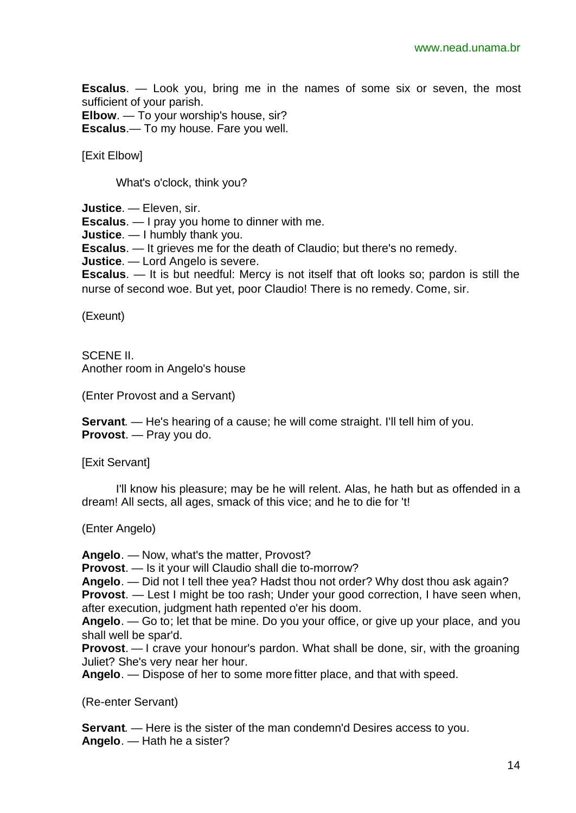**Escalus**. — Look you, bring me in the names of some six or seven, the most sufficient of your parish.

**Elbow**. — To your worship's house, sir? **Escalus**.— To my house. Fare you well.

[Exit Elbow]

What's o'clock, think you?

**Justice**. — Eleven, sir.

**Escalus**. — I pray you home to dinner with me.

**Justice**. — I humbly thank you.

**Escalus**. — It grieves me for the death of Claudio; but there's no remedy.

**Justice**. — Lord Angelo is severe.

**Escalus**. — It is but needful: Mercy is not itself that oft looks so; pardon is still the nurse of second woe. But yet, poor Claudio! There is no remedy. Come, sir.

(Exeunt)

SCENE II. Another room in Angelo's house

(Enter Provost and a Servant)

**Servant**. — He's hearing of a cause; he will come straight. I'll tell him of you. **Provost**. — Pray you do.

[Exit Servant]

I'll know his pleasure; may be he will relent. Alas, he hath but as offended in a dream! All sects, all ages, smack of this vice; and he to die for 't!

(Enter Angelo)

**Angelo**. — Now, what's the matter, Provost?

**Provost**. — Is it your will Claudio shall die to-morrow?

**Angelo**. — Did not I tell thee yea? Hadst thou not order? Why dost thou ask again?

**Provost**. — Lest I might be too rash; Under your good correction, I have seen when, after execution, judgment hath repented o'er his doom.

**Angelo**. — Go to; let that be mine. Do you your office, or give up your place, and you shall well be spar'd.

**Provost**. — I crave your honour's pardon. What shall be done, sir, with the groaning Juliet? She's very near her hour.

**Angelo**. — Dispose of her to some more fitter place, and that with speed.

(Re-enter Servant)

**Servant**. — Here is the sister of the man condemn'd Desires access to you. **Angelo**. — Hath he a sister?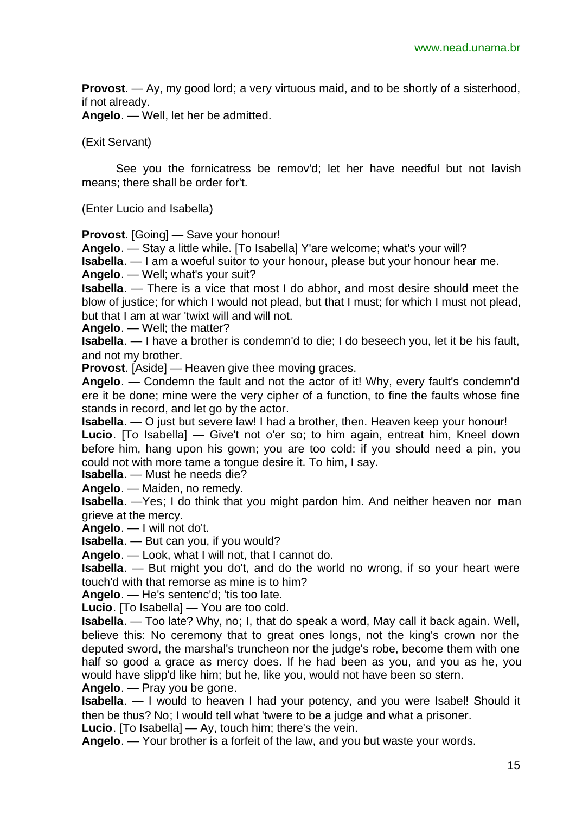**Provost**. — Ay, my good lord; a very virtuous maid, and to be shortly of a sisterhood, if not already.

**Angelo**. — Well, let her be admitted.

(Exit Servant)

See you the fornicatress be remov'd; let her have needful but not lavish means; there shall be order for't.

(Enter Lucio and Isabella)

**Provost**. [Going] — Save your honour!

**Angelo**. — Stay a little while. [To Isabella] Y'are welcome; what's your will?

**Isabella**. — I am a woeful suitor to your honour, please but your honour hear me.

**Angelo**. — Well; what's your suit?

**Isabella**. — There is a vice that most I do abhor, and most desire should meet the blow of justice; for which I would not plead, but that I must; for which I must not plead, but that I am at war 'twixt will and will not.

**Angelo**. — Well; the matter?

**Isabella**. — I have a brother is condemn'd to die; I do beseech you, let it be his fault, and not my brother.

**Provost**. [Aside] — Heaven give thee moving graces.

**Angelo**. — Condemn the fault and not the actor of it! Why, every fault's condemn'd ere it be done; mine were the very cipher of a function, to fine the faults whose fine stands in record, and let go by the actor.

**Isabella**. — O just but severe law! I had a brother, then. Heaven keep your honour! **Lucio**. [To Isabella] — Give't not o'er so; to him again, entreat him, Kneel down before him, hang upon his gown; you are too cold: if you should need a pin, you could not with more tame a tongue desire it. To him, I say.

**Isabella**. — Must he needs die?

**Angelo**. — Maiden, no remedy.

**Isabella**. —Yes; I do think that you might pardon him. And neither heaven nor man grieve at the mercy.

**Angelo**. — I will not do't.

**Isabella**. — But can you, if you would?

**Angelo**. — Look, what I will not, that I cannot do.

**Isabella**. — But might you do't, and do the world no wrong, if so your heart were touch'd with that remorse as mine is to him?

Angelo. — He's sentenc'd; 'tis too late.

**Lucio**. [To Isabella] — You are too cold.

**Isabella**. — Too late? Why, no; I, that do speak a word, May call it back again. Well, believe this: No ceremony that to great ones longs, not the king's crown nor the deputed sword, the marshal's truncheon nor the judge's robe, become them with one half so good a grace as mercy does. If he had been as you, and you as he, you would have slipp'd like him; but he, like you, would not have been so stern.

**Angelo**. — Pray you be gone.

**Isabella**. — I would to heaven I had your potency, and you were Isabel! Should it then be thus? No; I would tell what 'twere to be a judge and what a prisoner.

**Lucio**. [To Isabella] — Ay, touch him; there's the vein.

**Angelo**. — Your brother is a forfeit of the law, and you but waste your words.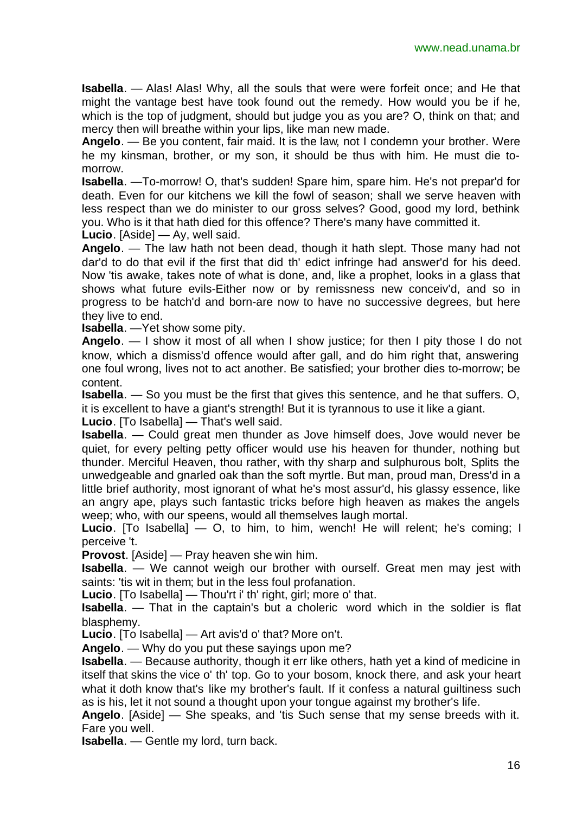**Isabella**. — Alas! Alas! Why, all the souls that were were forfeit once; and He that might the vantage best have took found out the remedy. How would you be if he, which is the top of judgment, should but judge you as you are? O, think on that; and mercy then will breathe within your lips, like man new made.

**Angelo**. — Be you content, fair maid. It is the law, not I condemn your brother. Were he my kinsman, brother, or my son, it should be thus with him. He must die tomorrow.

**Isabella**. —To-morrow! O, that's sudden! Spare him, spare him. He's not prepar'd for death. Even for our kitchens we kill the fowl of season; shall we serve heaven with less respect than we do minister to our gross selves? Good, good my lord, bethink you. Who is it that hath died for this offence? There's many have committed it.

**Lucio**. [Aside] — Ay, well said.

**Angelo**. — The law hath not been dead, though it hath slept. Those many had not dar'd to do that evil if the first that did th' edict infringe had answer'd for his deed. Now 'tis awake, takes note of what is done, and, like a prophet, looks in a glass that shows what future evils-Either now or by remissness new conceiv'd, and so in progress to be hatch'd and born-are now to have no successive degrees, but here they live to end.

**Isabella**. —Yet show some pity.

**Angelo**. — I show it most of all when I show justice; for then I pity those I do not know, which a dismiss'd offence would after gall, and do him right that, answering one foul wrong, lives not to act another. Be satisfied; your brother dies to-morrow; be content.

**Isabella**. — So you must be the first that gives this sentence, and he that suffers. O, it is excellent to have a giant's strength! But it is tyrannous to use it like a giant.

**Lucio**. [To Isabella] — That's well said.

**Isabella**. — Could great men thunder as Jove himself does, Jove would never be quiet, for every pelting petty officer would use his heaven for thunder, nothing but thunder. Merciful Heaven, thou rather, with thy sharp and sulphurous bolt, Splits the unwedgeable and gnarled oak than the soft myrtle. But man, proud man, Dress'd in a little brief authority, most ignorant of what he's most assur'd, his glassy essence, like an angry ape, plays such fantastic tricks before high heaven as makes the angels weep; who, with our speens, would all themselves laugh mortal.

**Lucio**. [To Isabella] — O, to him, to him, wench! He will relent; he's coming; I perceive 't.

**Provost**. [Aside] — Pray heaven she win him.

**Isabella**. — We cannot weigh our brother with ourself. Great men may jest with saints: 'tis wit in them; but in the less foul profanation.

**Lucio**. [To Isabella] — Thou'rt i' th' right, girl; more o' that.

**Isabella**. — That in the captain's but a choleric word which in the soldier is flat blasphemy.

**Lucio**. [To Isabella] — Art avis'd o' that? More on't.

**Angelo**. — Why do you put these sayings upon me?

**Isabella**. — Because authority, though it err like others, hath yet a kind of medicine in itself that skins the vice o' th' top. Go to your bosom, knock there, and ask your heart what it doth know that's like my brother's fault. If it confess a natural guiltiness such as is his, let it not sound a thought upon your tongue against my brother's life.

**Angelo**. [Aside] — She speaks, and 'tis Such sense that my sense breeds with it. Fare you well.

**Isabella**. — Gentle my lord, turn back.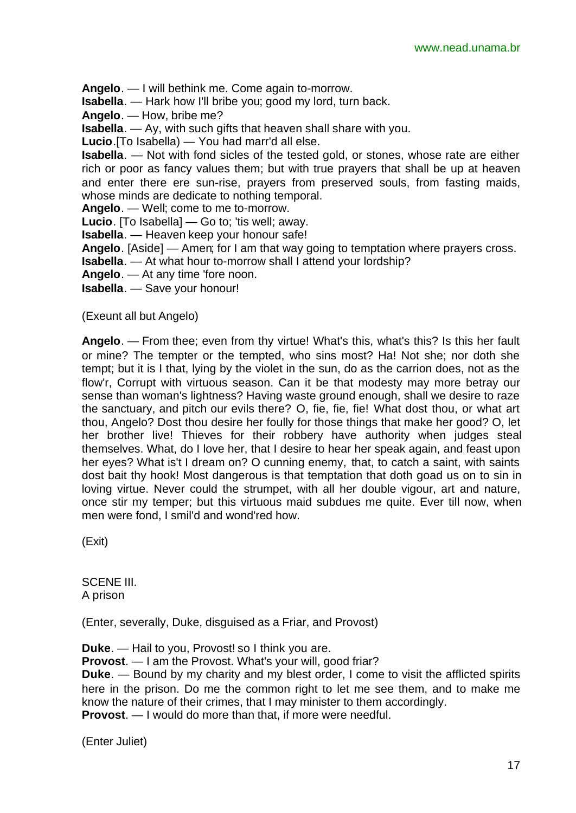**Angelo**. — I will bethink me. Come again to-morrow.

**Isabella**. — Hark how I'll bribe you; good my lord, turn back.

**Angelo**. — How, bribe me?

**Isabella**. — Ay, with such gifts that heaven shall share with you.

**Lucio**.[To Isabella) — You had marr'd all else.

**Isabella**. — Not with fond sicles of the tested gold, or stones, whose rate are either rich or poor as fancy values them; but with true prayers that shall be up at heaven and enter there ere sun-rise, prayers from preserved souls, from fasting maids, whose minds are dedicate to nothing temporal.

**Angelo**. — Well; come to me to-morrow.

**Lucio**. [To Isabella] — Go to; 'tis well; away.

**Isabella**. — Heaven keep your honour safe!

**Angelo**. [Aside] — Amen; for I am that way going to temptation where prayers cross.

**Isabella**. — At what hour to-morrow shall I attend your lordship?

**Angelo**. — At any time 'fore noon.

**Isabella**. — Save your honour!

(Exeunt all but Angelo)

**Angelo**. — From thee; even from thy virtue! What's this, what's this? Is this her fault or mine? The tempter or the tempted, who sins most? Ha! Not she; nor doth she tempt; but it is I that, lying by the violet in the sun, do as the carrion does, not as the flow'r, Corrupt with virtuous season. Can it be that modesty may more betray our sense than woman's lightness? Having waste ground enough, shall we desire to raze the sanctuary, and pitch our evils there? O, fie, fie, fie! What dost thou, or what art thou, Angelo? Dost thou desire her foully for those things that make her good? O, let her brother live! Thieves for their robbery have authority when judges steal themselves. What, do I love her, that I desire to hear her speak again, and feast upon her eyes? What is't I dream on? O cunning enemy, that, to catch a saint, with saints dost bait thy hook! Most dangerous is that temptation that doth goad us on to sin in loving virtue. Never could the strumpet, with all her double vigour, art and nature, once stir my temper; but this virtuous maid subdues me quite. Ever till now, when men were fond, I smil'd and wond'red how.

(Exit)

SCENE III. A prison

(Enter, severally, Duke, disguised as a Friar, and Provost)

**Duke**. — Hail to you, Provost! so I think you are.

**Provost**. — I am the Provost. What's your will, good friar?

**Duke**. — Bound by my charity and my blest order, I come to visit the afflicted spirits here in the prison. Do me the common right to let me see them, and to make me know the nature of their crimes, that I may minister to them accordingly.

**Provost**. — I would do more than that, if more were needful.

(Enter Juliet)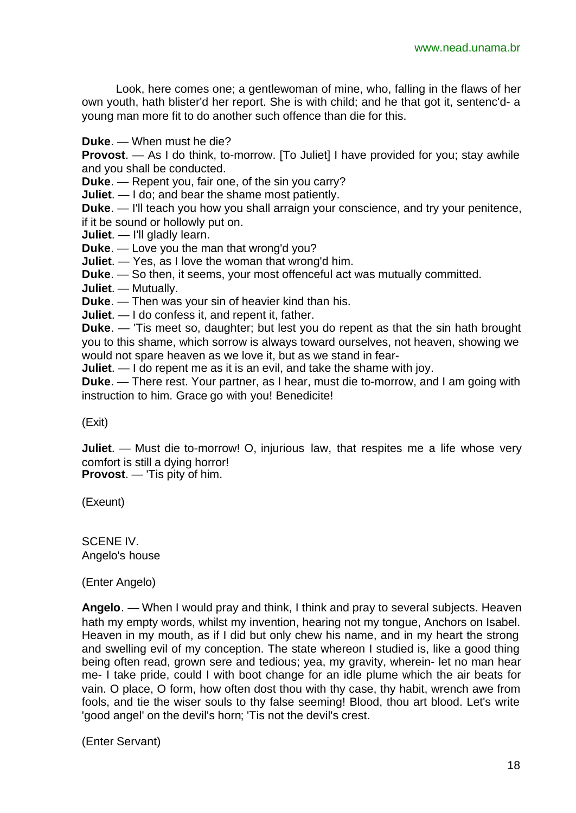Look, here comes one; a gentlewoman of mine, who, falling in the flaws of her own youth, hath blister'd her report. She is with child; and he that got it, sentenc'd- a young man more fit to do another such offence than die for this.

**Duke**. — When must he die?

**Provost**. — As I do think, to-morrow. [To Juliet] I have provided for you; stay awhile and you shall be conducted.

**Duke**. — Repent you, fair one, of the sin you carry?

**Juliet**. — I do; and bear the shame most patiently.

**Duke**. — I'll teach you how you shall arraign your conscience, and try your penitence, if it be sound or hollowly put on.

**Juliet**. — I'll gladly learn.

**Duke**. — Love you the man that wrong'd you?

**Juliet**. — Yes, as I love the woman that wrong'd him.

**Duke**. — So then, it seems, your most offenceful act was mutually committed.

**Juliet**. — Mutually.

**Duke**. — Then was your sin of heavier kind than his.

**Juliet**. — I do confess it, and repent it, father.

**Duke**. — 'Tis meet so, daughter; but lest you do repent as that the sin hath brought you to this shame, which sorrow is always toward ourselves, not heaven, showing we would not spare heaven as we love it, but as we stand in fear-

**Juliet**. — I do repent me as it is an evil, and take the shame with joy.

**Duke**. — There rest. Your partner, as I hear, must die to-morrow, and I am going with instruction to him. Grace go with you! Benedicite!

(Exit)

**Juliet**. — Must die to-morrow! O, injurious law, that respites me a life whose very comfort is still a dying horror! **Provost**. — 'Tis pity of him.

(Exeunt)

SCENE IV. Angelo's house

(Enter Angelo)

**Angelo**. — When I would pray and think, I think and pray to several subjects. Heaven hath my empty words, whilst my invention, hearing not my tongue, Anchors on Isabel. Heaven in my mouth, as if I did but only chew his name, and in my heart the strong and swelling evil of my conception. The state whereon I studied is, like a good thing being often read, grown sere and tedious; yea, my gravity, wherein- let no man hear me- I take pride, could I with boot change for an idle plume which the air beats for vain. O place, O form, how often dost thou with thy case, thy habit, wrench awe from fools, and tie the wiser souls to thy false seeming! Blood, thou art blood. Let's write 'good angel' on the devil's horn; 'Tis not the devil's crest.

(Enter Servant)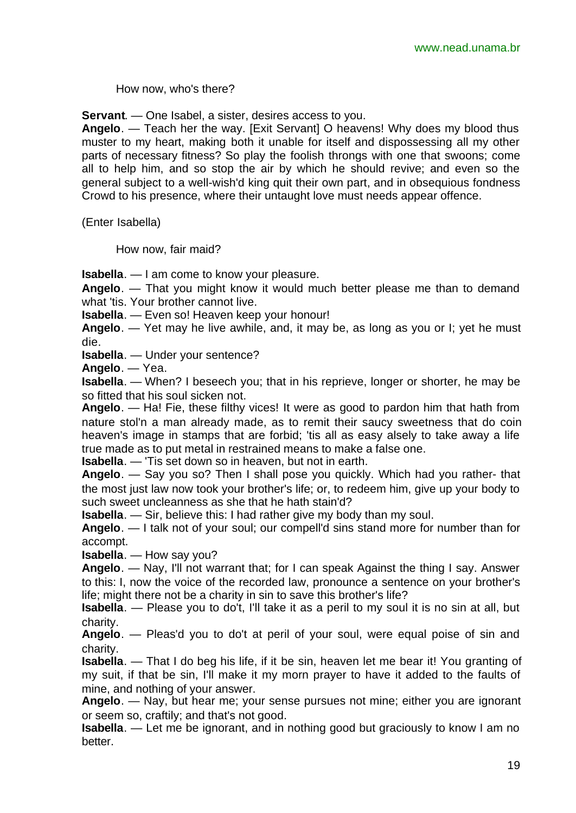How now, who's there?

**Servant**. — One Isabel, a sister, desires access to you.

**Angelo**. — Teach her the way. [Exit Servant] O heavens! Why does my blood thus muster to my heart, making both it unable for itself and dispossessing all my other parts of necessary fitness? So play the foolish throngs with one that swoons; come all to help him, and so stop the air by which he should revive; and even so the general subject to a well-wish'd king quit their own part, and in obsequious fondness Crowd to his presence, where their untaught love must needs appear offence.

(Enter Isabella)

How now, fair maid?

**Isabella**. — I am come to know your pleasure.

**Angelo**. — That you might know it would much better please me than to demand what 'tis. Your brother cannot live.

**Isabella**. — Even so! Heaven keep your honour!

**Angelo**. — Yet may he live awhile, and, it may be, as long as you or I; yet he must die.

**Isabella**. — Under your sentence?

**Angelo**. — Yea.

**Isabella**. — When? I beseech you; that in his reprieve, longer or shorter, he may be so fitted that his soul sicken not.

**Angelo**. — Ha! Fie, these filthy vices! It were as good to pardon him that hath from nature stol'n a man already made, as to remit their saucy sweetness that do coin heaven's image in stamps that are forbid; 'tis all as easy alsely to take away a life true made as to put metal in restrained means to make a false one.

**Isabella**. — 'Tis set down so in heaven, but not in earth.

**Angelo**. — Say you so? Then I shall pose you quickly. Which had you rather- that the most just law now took your brother's life; or, to redeem him, give up your body to such sweet uncleanness as she that he hath stain'd?

**Isabella**. — Sir, believe this: I had rather give my body than my soul.

**Angelo**. — I talk not of your soul; our compell'd sins stand more for number than for accompt.

**Isabella**. — How say you?

**Angelo**. — Nay, I'll not warrant that; for I can speak Against the thing I say. Answer to this: I, now the voice of the recorded law, pronounce a sentence on your brother's life; might there not be a charity in sin to save this brother's life?

**Isabella**. — Please you to do't, I'll take it as a peril to my soul it is no sin at all, but charity.

**Angelo**. — Pleas'd you to do't at peril of your soul, were equal poise of sin and charity.

**Isabella**. — That I do beg his life, if it be sin, heaven let me bear it! You granting of my suit, if that be sin, I'll make it my morn prayer to have it added to the faults of mine, and nothing of your answer.

**Angelo**. — Nay, but hear me; your sense pursues not mine; either you are ignorant or seem so, craftily; and that's not good.

**Isabella**. — Let me be ignorant, and in nothing good but graciously to know I am no better.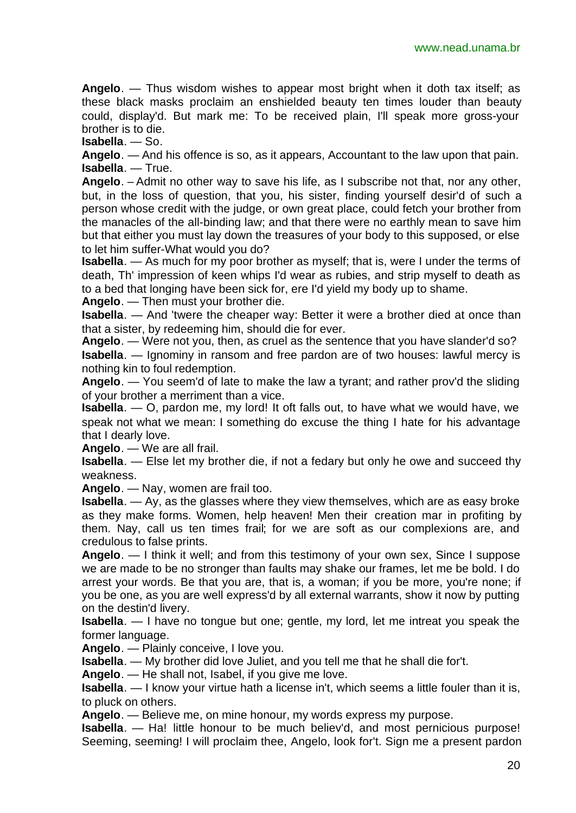**Angelo**. — Thus wisdom wishes to appear most bright when it doth tax itself; as these black masks proclaim an enshielded beauty ten times louder than beauty could, display'd. But mark me: To be received plain, I'll speak more gross-your brother is to die.

**Isabella**. — So.

**Angelo**. — And his offence is so, as it appears, Accountant to the law upon that pain. **Isabella**. — True.

**Angelo**. – Admit no other way to save his life, as I subscribe not that, nor any other, but, in the loss of question, that you, his sister, finding yourself desir'd of such a person whose credit with the judge, or own great place, could fetch your brother from the manacles of the all-binding law; and that there were no earthly mean to save him but that either you must lay down the treasures of your body to this supposed, or else to let him suffer-What would you do?

**Isabella**. — As much for my poor brother as myself; that is, were I under the terms of death, Th' impression of keen whips I'd wear as rubies, and strip myself to death as to a bed that longing have been sick for, ere I'd yield my body up to shame.

**Angelo**. — Then must your brother die.

**Isabella**. — And 'twere the cheaper way: Better it were a brother died at once than that a sister, by redeeming him, should die for ever.

**Angelo**. — Were not you, then, as cruel as the sentence that you have slander'd so? **Isabella**. — Ignominy in ransom and free pardon are of two houses: lawful mercy is nothing kin to foul redemption.

**Angelo**. — You seem'd of late to make the law a tyrant; and rather prov'd the sliding of your brother a merriment than a vice.

**Isabella**. — O, pardon me, my lord! It oft falls out, to have what we would have, we speak not what we mean: I something do excuse the thing I hate for his advantage that I dearly love.

**Angelo**. — We are all frail.

**Isabella**. — Else let my brother die, if not a fedary but only he owe and succeed thy weakness.

**Angelo**. — Nay, women are frail too.

**Isabella**. — Ay, as the glasses where they view themselves, which are as easy broke as they make forms. Women, help heaven! Men their creation mar in profiting by them. Nay, call us ten times frail; for we are soft as our complexions are, and credulous to false prints.

**Angelo**. — I think it well; and from this testimony of your own sex, Since I suppose we are made to be no stronger than faults may shake our frames, let me be bold. I do arrest your words. Be that you are, that is, a woman; if you be more, you're none; if you be one, as you are well express'd by all external warrants, show it now by putting on the destin'd livery.

**Isabella**. — I have no tongue but one; gentle, my lord, let me intreat you speak the former language.

**Angelo**. — Plainly conceive, I love you.

**Isabella**. — My brother did love Juliet, and you tell me that he shall die for't.

**Angelo**. — He shall not, Isabel, if you give me love.

**Isabella**. — I know your virtue hath a license in't, which seems a little fouler than it is, to pluck on others.

**Angelo**. — Believe me, on mine honour, my words express my purpose.

**Isabella**. — Ha! little honour to be much believ'd, and most pernicious purpose! Seeming, seeming! I will proclaim thee, Angelo, look for't. Sign me a present pardon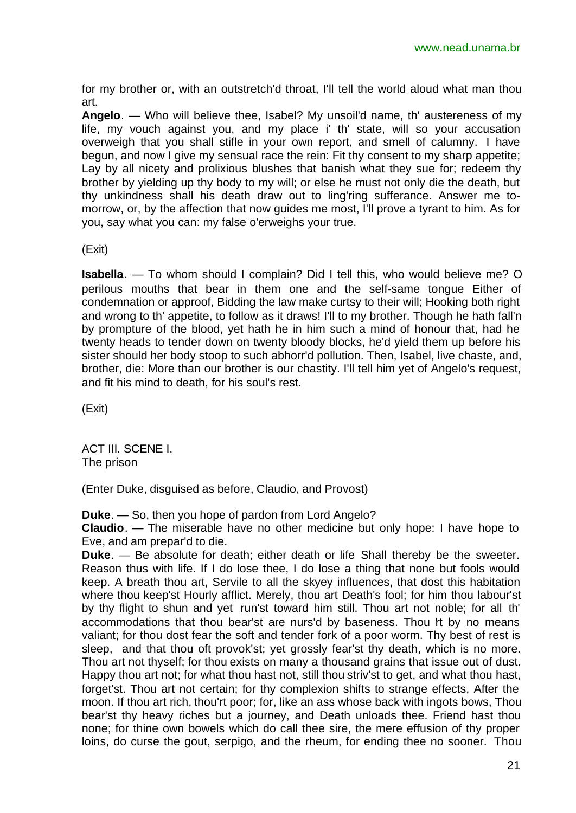for my brother or, with an outstretch'd throat, I'll tell the world aloud what man thou art.

**Angelo**. — Who will believe thee, Isabel? My unsoil'd name, th' austereness of my life, my vouch against you, and my place i' th' state, will so your accusation overweigh that you shall stifle in your own report, and smell of calumny. I have begun, and now I give my sensual race the rein: Fit thy consent to my sharp appetite; Lay by all nicety and prolixious blushes that banish what they sue for; redeem thy brother by yielding up thy body to my will; or else he must not only die the death, but thy unkindness shall his death draw out to ling'ring sufferance. Answer me tomorrow, or, by the affection that now guides me most, I'll prove a tyrant to him. As for you, say what you can: my false o'erweighs your true.

(Exit)

**Isabella**. — To whom should I complain? Did I tell this, who would believe me? O perilous mouths that bear in them one and the self-same tongue Either of condemnation or approof, Bidding the law make curtsy to their will; Hooking both right and wrong to th' appetite, to follow as it draws! I'll to my brother. Though he hath fall'n by prompture of the blood, yet hath he in him such a mind of honour that, had he twenty heads to tender down on twenty bloody blocks, he'd yield them up before his sister should her body stoop to such abhorr'd pollution. Then, Isabel, live chaste, and, brother, die: More than our brother is our chastity. I'll tell him yet of Angelo's request, and fit his mind to death, for his soul's rest.

(Exit)

ACT III. SCENE I. The prison

(Enter Duke, disguised as before, Claudio, and Provost)

**Duke**. — So, then you hope of pardon from Lord Angelo?

**Claudio**. — The miserable have no other medicine but only hope: I have hope to Eve, and am prepar'd to die.

**Duke**. — Be absolute for death; either death or life Shall thereby be the sweeter. Reason thus with life. If I do lose thee, I do lose a thing that none but fools would keep. A breath thou art, Servile to all the skyey influences, that dost this habitation where thou keep'st Hourly afflict. Merely, thou art Death's fool; for him thou labour'st by thy flight to shun and yet run'st toward him still. Thou art not noble; for all th' accommodations that thou bear'st are nurs'd by baseness. Thou It by no means valiant; for thou dost fear the soft and tender fork of a poor worm. Thy best of rest is sleep, and that thou oft provok'st; yet grossly fear'st thy death, which is no more. Thou art not thyself; for thou exists on many a thousand grains that issue out of dust. Happy thou art not; for what thou hast not, still thou striv'st to get, and what thou hast, forget'st. Thou art not certain; for thy complexion shifts to strange effects, After the moon. If thou art rich, thou'rt poor; for, like an ass whose back with ingots bows, Thou bear'st thy heavy riches but a journey, and Death unloads thee. Friend hast thou none; for thine own bowels which do call thee sire, the mere effusion of thy proper loins, do curse the gout, serpigo, and the rheum, for ending thee no sooner. Thou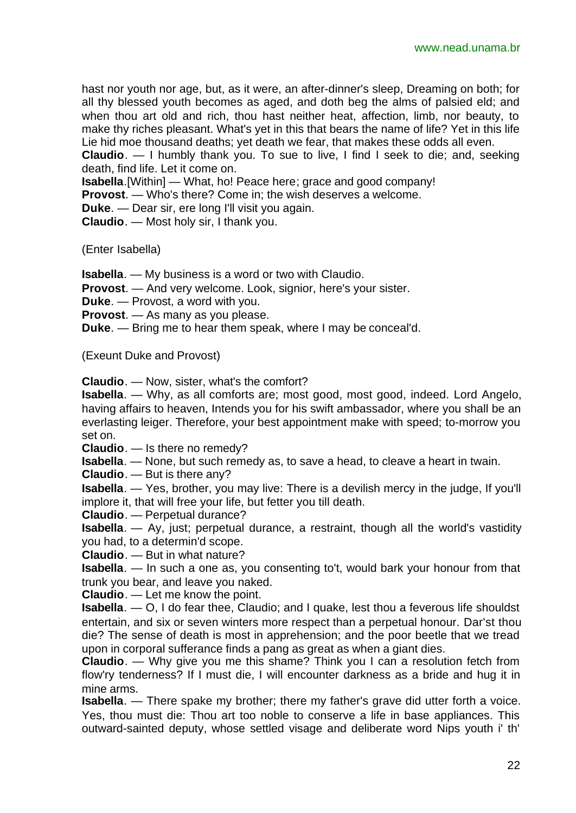hast nor youth nor age, but, as it were, an after-dinner's sleep, Dreaming on both; for all thy blessed youth becomes as aged, and doth beg the alms of palsied eld; and when thou art old and rich, thou hast neither heat, affection, limb, nor beauty, to make thy riches pleasant. What's yet in this that bears the name of life? Yet in this life Lie hid moe thousand deaths; yet death we fear, that makes these odds all even.

**Claudio**. — I humbly thank you. To sue to live, I find I seek to die; and, seeking death, find life. Let it come on.

**Isabella**.[Within] — What, ho! Peace here; grace and good company!

**Provost**. — Who's there? Come in; the wish deserves a welcome.

**Duke**. — Dear sir, ere long I'll visit you again.

**Claudio**. — Most holy sir, I thank you.

(Enter Isabella)

**Isabella**. — My business is a word or two with Claudio.

**Provost**. — And very welcome. Look, signior, here's your sister.

**Duke**. — Provost, a word with you.

**Provost**. — As many as you please.

**Duke**. — Bring me to hear them speak, where I may be conceal'd.

(Exeunt Duke and Provost)

**Claudio**. — Now, sister, what's the comfort?

**Isabella**. — Why, as all comforts are; most good, most good, indeed. Lord Angelo, having affairs to heaven, Intends you for his swift ambassador, where you shall be an everlasting leiger. Therefore, your best appointment make with speed; to-morrow you set on.

**Claudio**. — Is there no remedy?

**Isabella**. — None, but such remedy as, to save a head, to cleave a heart in twain.

**Claudio**. — But is there any?

**Isabella**. — Yes, brother, you may live: There is a devilish mercy in the judge, If you'll implore it, that will free your life, but fetter you till death.

**Claudio**. — Perpetual durance?

**Isabella**. — Ay, just; perpetual durance, a restraint, though all the world's vastidity you had, to a determin'd scope.

**Claudio**. — But in what nature?

**Isabella**. — In such a one as, you consenting to't, would bark your honour from that trunk you bear, and leave you naked.

**Claudio**. — Let me know the point.

**Isabella**. — O, I do fear thee, Claudio; and I quake, lest thou a feverous life shouldst entertain, and six or seven winters more respect than a perpetual honour. Dar'st thou die? The sense of death is most in apprehension; and the poor beetle that we tread upon in corporal sufferance finds a pang as great as when a giant dies.

**Claudio**. — Why give you me this shame? Think you I can a resolution fetch from flow'ry tenderness? If I must die, I will encounter darkness as a bride and hug it in mine arms.

**Isabella**. — There spake my brother; there my father's grave did utter forth a voice. Yes, thou must die: Thou art too noble to conserve a life in base appliances. This outward-sainted deputy, whose settled visage and deliberate word Nips youth i' th'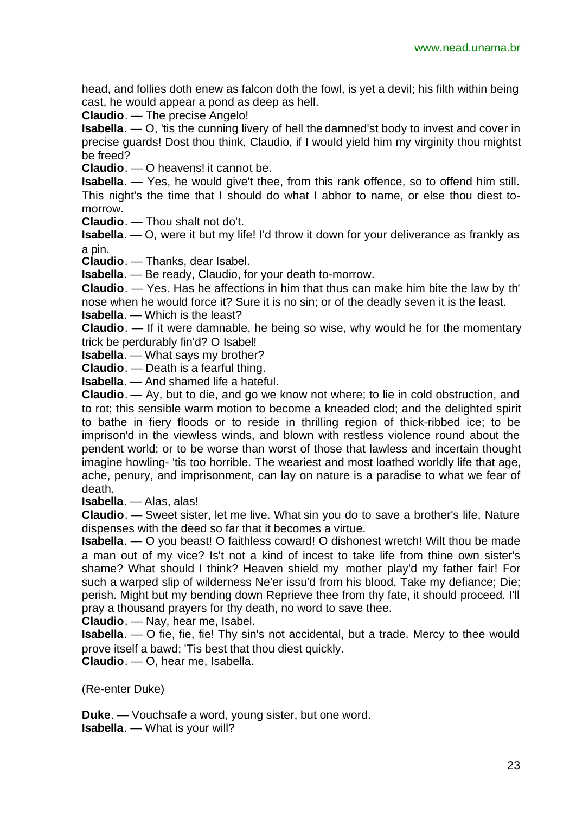head, and follies doth enew as falcon doth the fowl, is yet a devil; his filth within being cast, he would appear a pond as deep as hell.

**Claudio**. — The precise Angelo!

**Isabella**. — O, 'tis the cunning livery of hell the damned'st body to invest and cover in precise guards! Dost thou think, Claudio, if I would yield him my virginity thou mightst be freed?

**Claudio**. — O heavens! it cannot be.

**Isabella**. — Yes, he would give't thee, from this rank offence, so to offend him still. This night's the time that I should do what I abhor to name, or else thou diest tomorrow.

**Claudio**. — Thou shalt not do't.

**Isabella**. — O, were it but my life! I'd throw it down for your deliverance as frankly as a pin.

**Claudio**. — Thanks, dear Isabel.

**Isabella**. — Be ready, Claudio, for your death to-morrow.

**Claudio**. — Yes. Has he affections in him that thus can make him bite the law by th' nose when he would force it? Sure it is no sin; or of the deadly seven it is the least.

**Isabella**. — Which is the least?

**Claudio**. — If it were damnable, he being so wise, why would he for the momentary trick be perdurably fin'd? O Isabel!

**Isabella**. — What says my brother?

**Claudio**. — Death is a fearful thing.

**Isabella**. — And shamed life a hateful.

**Claudio**. — Ay, but to die, and go we know not where; to lie in cold obstruction, and to rot; this sensible warm motion to become a kneaded clod; and the delighted spirit to bathe in fiery floods or to reside in thrilling region of thick-ribbed ice; to be imprison'd in the viewless winds, and blown with restless violence round about the pendent world; or to be worse than worst of those that lawless and incertain thought imagine howling- 'tis too horrible. The weariest and most loathed worldly life that age, ache, penury, and imprisonment, can lay on nature is a paradise to what we fear of death.

**Isabella**. — Alas, alas!

**Claudio**. — Sweet sister, let me live. What sin you do to save a brother's life, Nature dispenses with the deed so far that it becomes a virtue.

**Isabella**. — O you beast! O faithless coward! O dishonest wretch! Wilt thou be made a man out of my vice? Is't not a kind of incest to take life from thine own sister's shame? What should I think? Heaven shield my mother play'd my father fair! For such a warped slip of wilderness Ne'er issu'd from his blood. Take my defiance; Die; perish. Might but my bending down Reprieve thee from thy fate, it should proceed. I'll pray a thousand prayers for thy death, no word to save thee.

**Claudio**. — Nay, hear me, Isabel.

**Isabella**. — O fie, fie, fie! Thy sin's not accidental, but a trade. Mercy to thee would prove itself a bawd; 'Tis best that thou diest quickly.

**Claudio**. — O, hear me, Isabella.

(Re-enter Duke)

**Duke**. — Vouchsafe a word, young sister, but one word. **Isabella**. — What is your will?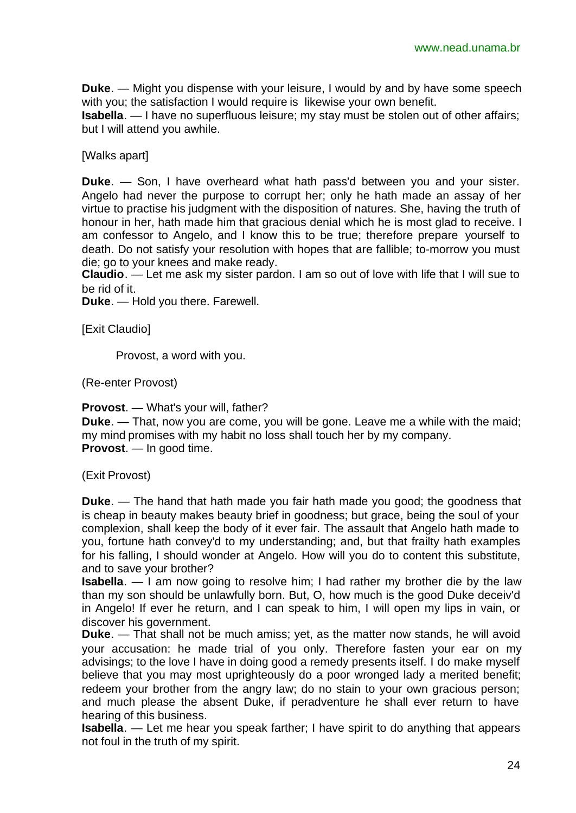**Duke**. — Might you dispense with your leisure, I would by and by have some speech with you; the satisfaction I would require is likewise your own benefit.

**Isabella**. — I have no superfluous leisure; my stay must be stolen out of other affairs; but I will attend you awhile.

[Walks apart]

**Duke**. — Son, I have overheard what hath pass'd between you and your sister. Angelo had never the purpose to corrupt her; only he hath made an assay of her virtue to practise his judgment with the disposition of natures. She, having the truth of honour in her, hath made him that gracious denial which he is most glad to receive. I am confessor to Angelo, and I know this to be true; therefore prepare yourself to death. Do not satisfy your resolution with hopes that are fallible; to-morrow you must die; go to your knees and make ready.

**Claudio**. — Let me ask my sister pardon. I am so out of love with life that I will sue to be rid of it.

**Duke**. — Hold you there. Farewell.

[Exit Claudio]

Provost, a word with you.

(Re-enter Provost)

**Provost**. — What's your will, father?

**Duke**. — That, now you are come, you will be gone. Leave me a while with the maid; my mind promises with my habit no loss shall touch her by my company. **Provost**. — In good time.

(Exit Provost)

**Duke**. — The hand that hath made you fair hath made you good; the goodness that is cheap in beauty makes beauty brief in goodness; but grace, being the soul of your complexion, shall keep the body of it ever fair. The assault that Angelo hath made to you, fortune hath convey'd to my understanding; and, but that frailty hath examples for his falling, I should wonder at Angelo. How will you do to content this substitute, and to save your brother?

**Isabella**. — I am now going to resolve him; I had rather my brother die by the law than my son should be unlawfully born. But, O, how much is the good Duke deceiv'd in Angelo! If ever he return, and I can speak to him, I will open my lips in vain, or discover his government.

**Duke**. — That shall not be much amiss; yet, as the matter now stands, he will avoid your accusation: he made trial of you only. Therefore fasten your ear on my advisings; to the love I have in doing good a remedy presents itself. I do make myself believe that you may most uprighteously do a poor wronged lady a merited benefit; redeem your brother from the angry law; do no stain to your own gracious person; and much please the absent Duke, if peradventure he shall ever return to have hearing of this business.

**Isabella**. — Let me hear you speak farther; I have spirit to do anything that appears not foul in the truth of my spirit.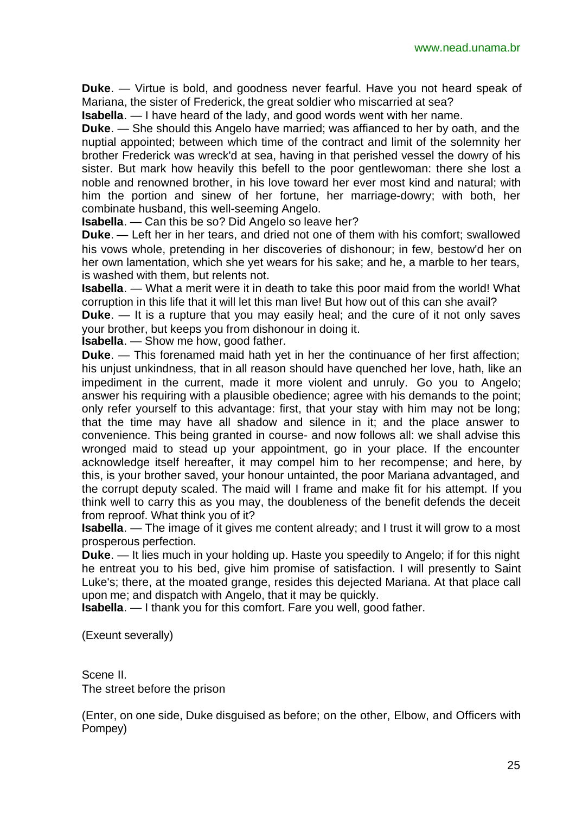**Duke**. — Virtue is bold, and goodness never fearful. Have you not heard speak of Mariana, the sister of Frederick, the great soldier who miscarried at sea?

**Isabella**. — I have heard of the lady, and good words went with her name.

**Duke**. — She should this Angelo have married; was affianced to her by oath, and the nuptial appointed; between which time of the contract and limit of the solemnity her brother Frederick was wreck'd at sea, having in that perished vessel the dowry of his sister. But mark how heavily this befell to the poor gentlewoman: there she lost a noble and renowned brother, in his love toward her ever most kind and natural; with him the portion and sinew of her fortune, her marriage-dowry; with both, her combinate husband, this well-seeming Angelo.

**Isabella**. — Can this be so? Did Angelo so leave her?

**Duke**. — Left her in her tears, and dried not one of them with his comfort; swallowed his vows whole, pretending in her discoveries of dishonour; in few, bestow'd her on her own lamentation, which she yet wears for his sake; and he, a marble to her tears, is washed with them, but relents not.

**Isabella**. — What a merit were it in death to take this poor maid from the world! What corruption in this life that it will let this man live! But how out of this can she avail?

**Duke**. — It is a rupture that you may easily heal; and the cure of it not only saves your brother, but keeps you from dishonour in doing it.

**Isabella**. — Show me how, good father.

**Duke**. — This forenamed maid hath yet in her the continuance of her first affection; his unjust unkindness, that in all reason should have quenched her love, hath, like an impediment in the current, made it more violent and unruly. Go you to Angelo; answer his requiring with a plausible obedience; agree with his demands to the point; only refer yourself to this advantage: first, that your stay with him may not be long; that the time may have all shadow and silence in it; and the place answer to convenience. This being granted in course- and now follows all: we shall advise this wronged maid to stead up your appointment, go in your place. If the encounter acknowledge itself hereafter, it may compel him to her recompense; and here, by this, is your brother saved, your honour untainted, the poor Mariana advantaged, and the corrupt deputy scaled. The maid will I frame and make fit for his attempt. If you think well to carry this as you may, the doubleness of the benefit defends the deceit from reproof. What think you of it?

**Isabella**. — The image of it gives me content already; and I trust it will grow to a most prosperous perfection.

**Duke**. — It lies much in your holding up. Haste you speedily to Angelo; if for this night he entreat you to his bed, give him promise of satisfaction. I will presently to Saint Luke's; there, at the moated grange, resides this dejected Mariana. At that place call upon me; and dispatch with Angelo, that it may be quickly.

**Isabella**. — I thank you for this comfort. Fare you well, good father.

(Exeunt severally)

Scene II. The street before the prison

(Enter, on one side, Duke disguised as before; on the other, Elbow, and Officers with Pompey)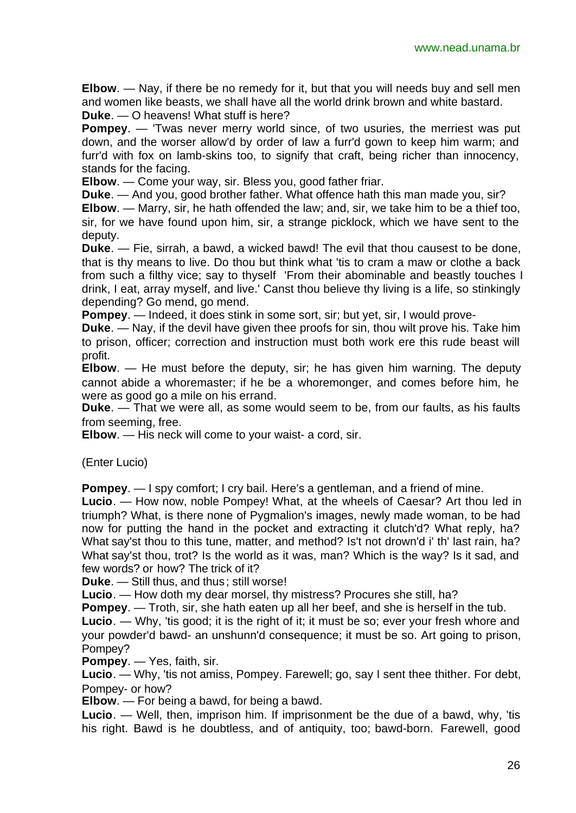**Elbow**. — Nay, if there be no remedy for it, but that you will needs buy and sell men and women like beasts, we shall have all the world drink brown and white bastard. **Duke**. — O heavens! What stuff is here?

**Pompey**. — 'Twas never merry world since, of two usuries, the merriest was put down, and the worser allow'd by order of law a furr'd gown to keep him warm; and furr'd with fox on lamb-skins too, to signify that craft, being richer than innocency, stands for the facing.

**Elbow**. — Come your way, sir. Bless you, good father friar.

**Duke**. — And you, good brother father. What offence hath this man made you, sir?

**Elbow**. — Marry, sir, he hath offended the law; and, sir, we take him to be a thief too, sir, for we have found upon him, sir, a strange picklock, which we have sent to the deputy.

**Duke**. — Fie, sirrah, a bawd, a wicked bawd! The evil that thou causest to be done, that is thy means to live. Do thou but think what 'tis to cram a maw or clothe a back from such a filthy vice; say to thyself 'From their abominable and beastly touches I drink, I eat, array myself, and live.' Canst thou believe thy living is a life, so stinkingly depending? Go mend, go mend.

**Pompey**. — Indeed, it does stink in some sort, sir; but yet, sir, I would prove-

**Duke**. — Nay, if the devil have given thee proofs for sin, thou wilt prove his. Take him to prison, officer; correction and instruction must both work ere this rude beast will profit.

**Elbow**. — He must before the deputy, sir; he has given him warning. The deputy cannot abide a whoremaster; if he be a whoremonger, and comes before him, he were as good go a mile on his errand.

**Duke**. — That we were all, as some would seem to be, from our faults, as his faults from seeming, free.

**Elbow**. — His neck will come to your waist- a cord, sir.

(Enter Lucio)

**Pompey.** — I spy comfort; I cry bail. Here's a gentleman, and a friend of mine.

**Lucio**. — How now, noble Pompey! What, at the wheels of Caesar? Art thou led in triumph? What, is there none of Pygmalion's images, newly made woman, to be had now for putting the hand in the pocket and extracting it clutch'd? What reply, ha? What say'st thou to this tune, matter, and method? Is't not drown'd i' th' last rain, ha? What say'st thou, trot? Is the world as it was, man? Which is the way? Is it sad, and few words? or how? The trick of it?

**Duke**. — Still thus, and thus; still worse!

**Lucio**. — How doth my dear morsel, thy mistress? Procures she still, ha?

**Pompey**. — Troth, sir, she hath eaten up all her beef, and she is herself in the tub.

**Lucio**. — Why, 'tis good; it is the right of it; it must be so; ever your fresh whore and your powder'd bawd- an unshunn'd consequence; it must be so. Art going to prison, Pompey?

**Pompey**. — Yes, faith, sir.

**Lucio**. — Why, 'tis not amiss, Pompey. Farewell; go, say I sent thee thither. For debt, Pompey- or how?

**Elbow**. — For being a bawd, for being a bawd.

**Lucio**. — Well, then, imprison him. If imprisonment be the due of a bawd, why, 'tis his right. Bawd is he doubtless, and of antiquity, too; bawd-born. Farewell, good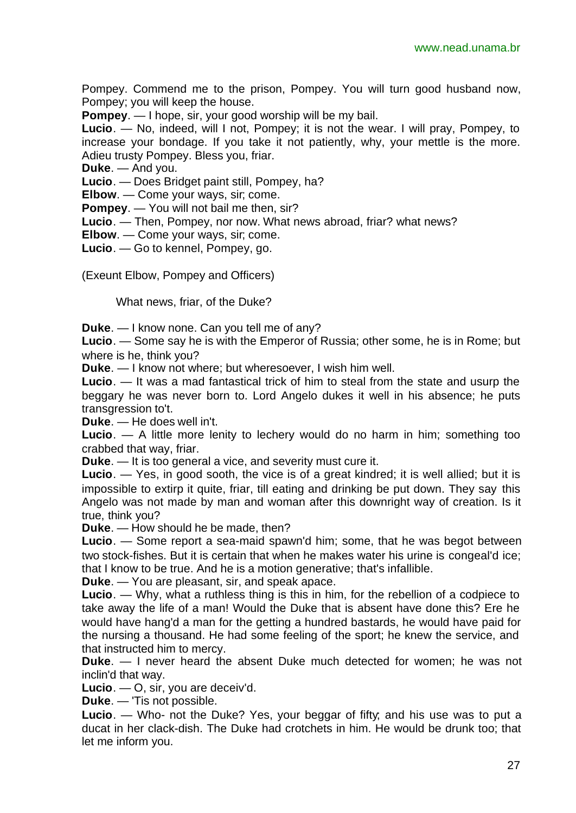Pompey. Commend me to the prison, Pompey. You will turn good husband now, Pompey; you will keep the house.

**Pompey**. — I hope, sir, your good worship will be my bail.

**Lucio**. — No, indeed, will I not, Pompey; it is not the wear. I will pray, Pompey, to increase your bondage. If you take it not patiently, why, your mettle is the more. Adieu trusty Pompey. Bless you, friar.

**Duke**. — And you.

**Lucio**. — Does Bridget paint still, Pompey, ha?

**Elbow**. — Come your ways, sir; come.

**Pompey**. — You will not bail me then, sir?

**Lucio**. — Then, Pompey, nor now. What news abroad, friar? what news?

**Elbow**. — Come your ways, sir; come.

**Lucio**. — Go to kennel, Pompey, go.

(Exeunt Elbow, Pompey and Officers)

What news, friar, of the Duke?

**Duke**. — I know none. Can you tell me of any?

**Lucio**. — Some say he is with the Emperor of Russia; other some, he is in Rome; but where is he, think you?

**Duke**. — I know not where; but wheresoever, I wish him well.

**Lucio**. — It was a mad fantastical trick of him to steal from the state and usurp the beggary he was never born to. Lord Angelo dukes it well in his absence; he puts transgression to't.

**Duke**. — He does well in't.

**Lucio**. — A little more lenity to lechery would do no harm in him; something too crabbed that way, friar.

**Duke**. — It is too general a vice, and severity must cure it.

**Lucio**. — Yes, in good sooth, the vice is of a great kindred; it is well allied; but it is impossible to extirp it quite, friar, till eating and drinking be put down. They say this Angelo was not made by man and woman after this downright way of creation. Is it true, think you?

**Duke**. — How should he be made, then?

**Lucio**. — Some report a sea-maid spawn'd him; some, that he was begot between two stock-fishes. But it is certain that when he makes water his urine is congeal'd ice; that I know to be true. And he is a motion generative; that's infallible.

**Duke**. — You are pleasant, sir, and speak apace.

**Lucio**. — Why, what a ruthless thing is this in him, for the rebellion of a codpiece to take away the life of a man! Would the Duke that is absent have done this? Ere he would have hang'd a man for the getting a hundred bastards, he would have paid for the nursing a thousand. He had some feeling of the sport; he knew the service, and that instructed him to mercy.

**Duke**. — I never heard the absent Duke much detected for women; he was not inclin'd that way.

**Lucio**. — O, sir, you are deceiv'd.

**Duke**. — 'Tis not possible.

**Lucio**. — Who- not the Duke? Yes, your beggar of fifty; and his use was to put a ducat in her clack-dish. The Duke had crotchets in him. He would be drunk too; that let me inform you.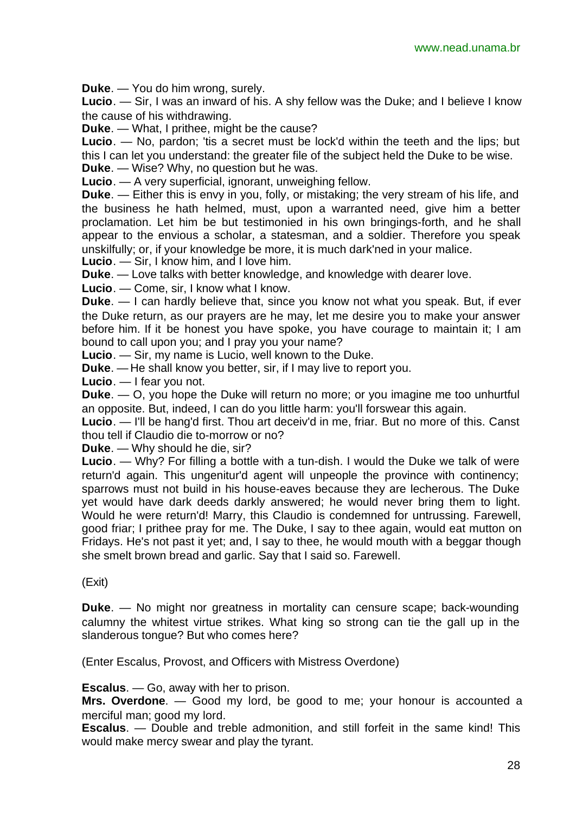**Duke**. — You do him wrong, surely.

**Lucio**. — Sir, I was an inward of his. A shy fellow was the Duke; and I believe I know the cause of his withdrawing.

**Duke**. — What, I prithee, might be the cause?

Lucio. — No, pardon; 'tis a secret must be lock'd within the teeth and the lips; but this I can let you understand: the greater file of the subject held the Duke to be wise. **Duke**. — Wise? Why, no question but he was.

**Lucio**. — A very superficial, ignorant, unweighing fellow.

**Duke**. — Either this is envy in you, folly, or mistaking; the very stream of his life, and the business he hath helmed, must, upon a warranted need, give him a better proclamation. Let him be but testimonied in his own bringings-forth, and he shall appear to the envious a scholar, a statesman, and a soldier. Therefore you speak unskilfully; or, if your knowledge be more, it is much dark'ned in your malice.

**Lucio**. — Sir, I know him, and I love him.

**Duke**. — Love talks with better knowledge, and knowledge with dearer love.

**Lucio**. — Come, sir, I know what I know.

**Duke**. — I can hardly believe that, since you know not what you speak. But, if ever the Duke return, as our prayers are he may, let me desire you to make your answer before him. If it be honest you have spoke, you have courage to maintain it; I am bound to call upon you; and I pray you your name?

**Lucio**. — Sir, my name is Lucio, well known to the Duke.

**Duke**. — He shall know you better, sir, if I may live to report you.

**Lucio**. — I fear you not.

**Duke**. — O, you hope the Duke will return no more; or you imagine me too unhurtful an opposite. But, indeed, I can do you little harm: you'll forswear this again.

**Lucio**. — I'll be hang'd first. Thou art deceiv'd in me, friar. But no more of this. Canst thou tell if Claudio die to-morrow or no?

**Duke**. — Why should he die, sir?

**Lucio**. — Why? For filling a bottle with a tun-dish. I would the Duke we talk of were return'd again. This ungenitur'd agent will unpeople the province with continency; sparrows must not build in his house-eaves because they are lecherous. The Duke yet would have dark deeds darkly answered; he would never bring them to light. Would he were return'd! Marry, this Claudio is condemned for untrussing. Farewell, good friar; I prithee pray for me. The Duke, I say to thee again, would eat mutton on Fridays. He's not past it yet; and, I say to thee, he would mouth with a beggar though she smelt brown bread and garlic. Say that I said so. Farewell.

(Exit)

**Duke**. — No might nor greatness in mortality can censure scape; back-wounding calumny the whitest virtue strikes. What king so strong can tie the gall up in the slanderous tongue? But who comes here?

(Enter Escalus, Provost, and Officers with Mistress Overdone)

**Escalus**. — Go, away with her to prison.

**Mrs. Overdone**. — Good my lord, be good to me; your honour is accounted a merciful man; good my lord.

**Escalus**. — Double and treble admonition, and still forfeit in the same kind! This would make mercy swear and play the tyrant.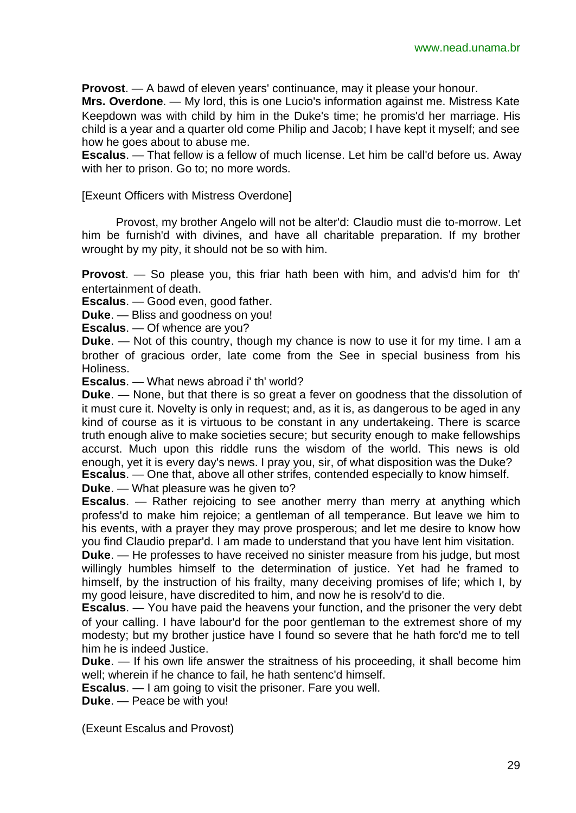**Provost**. — A bawd of eleven years' continuance, may it please your honour.

**Mrs. Overdone**. — My lord, this is one Lucio's information against me. Mistress Kate Keepdown was with child by him in the Duke's time; he promis'd her marriage. His child is a year and a quarter old come Philip and Jacob; I have kept it myself; and see how he goes about to abuse me.

**Escalus**. — That fellow is a fellow of much license. Let him be call'd before us. Away with her to prison. Go to; no more words.

[Exeunt Officers with Mistress Overdone]

Provost, my brother Angelo will not be alter'd: Claudio must die to-morrow. Let him be furnish'd with divines, and have all charitable preparation. If my brother wrought by my pity, it should not be so with him.

**Provost**. — So please you, this friar hath been with him, and advis'd him for th' entertainment of death.

**Escalus**. — Good even, good father.

**Duke**. — Bliss and goodness on you!

**Escalus**. — Of whence are you?

**Duke**. — Not of this country, though my chance is now to use it for my time. I am a brother of gracious order, late come from the See in special business from his Holiness.

**Escalus**. — What news abroad i' th' world?

**Duke**. — None, but that there is so great a fever on goodness that the dissolution of it must cure it. Novelty is only in request; and, as it is, as dangerous to be aged in any kind of course as it is virtuous to be constant in any undertakeing. There is scarce truth enough alive to make societies secure; but security enough to make fellowships accurst. Much upon this riddle runs the wisdom of the world. This news is old enough, yet it is every day's news. I pray you, sir, of what disposition was the Duke? **Escalus**. — One that, above all other strifes, contended especially to know himself.

**Duke**. — What pleasure was he given to?

**Escalus**. — Rather rejoicing to see another merry than merry at anything which profess'd to make him rejoice; a gentleman of all temperance. But leave we him to his events, with a prayer they may prove prosperous; and let me desire to know how you find Claudio prepar'd. I am made to understand that you have lent him visitation.

**Duke**. — He professes to have received no sinister measure from his judge, but most willingly humbles himself to the determination of justice. Yet had he framed to himself, by the instruction of his frailty, many deceiving promises of life; which I, by my good leisure, have discredited to him, and now he is resolv'd to die.

**Escalus**. — You have paid the heavens your function, and the prisoner the very debt of your calling. I have labour'd for the poor gentleman to the extremest shore of my modesty; but my brother justice have I found so severe that he hath forc'd me to tell him he is indeed Justice.

**Duke**. — If his own life answer the straitness of his proceeding, it shall become him well; wherein if he chance to fail, he hath sentenc'd himself.

**Escalus**. — I am going to visit the prisoner. Fare you well.

**Duke**. — Peace be with you!

(Exeunt Escalus and Provost)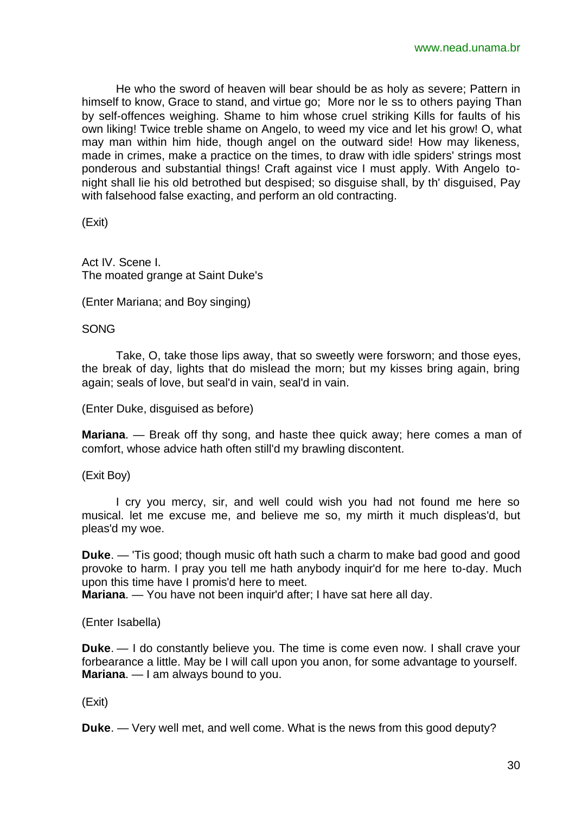He who the sword of heaven will bear should be as holy as severe; Pattern in himself to know, Grace to stand, and virtue go; More nor le ss to others paying Than by self-offences weighing. Shame to him whose cruel striking Kills for faults of his own liking! Twice treble shame on Angelo, to weed my vice and let his grow! O, what may man within him hide, though angel on the outward side! How may likeness, made in crimes, make a practice on the times, to draw with idle spiders' strings most ponderous and substantial things! Craft against vice I must apply. With Angelo tonight shall lie his old betrothed but despised; so disguise shall, by th' disguised, Pay with falsehood false exacting, and perform an old contracting.

(Exit)

Act IV. Scene I. The moated grange at Saint Duke's

(Enter Mariana; and Boy singing)

#### **SONG**

Take, O, take those lips away, that so sweetly were forsworn; and those eyes, the break of day, lights that do mislead the morn; but my kisses bring again, bring again; seals of love, but seal'd in vain, seal'd in vain.

(Enter Duke, disguised as before)

**Mariana**. — Break off thy song, and haste thee quick away; here comes a man of comfort, whose advice hath often still'd my brawling discontent.

(Exit Boy)

I cry you mercy, sir, and well could wish you had not found me here so musical. let me excuse me, and believe me so, my mirth it much displeas'd, but pleas'd my woe.

**Duke**. — 'Tis good; though music oft hath such a charm to make bad good and good provoke to harm. I pray you tell me hath anybody inquir'd for me here to-day. Much upon this time have I promis'd here to meet.

**Mariana**. — You have not been inquir'd after; I have sat here all day.

(Enter Isabella)

**Duke**. — I do constantly believe you. The time is come even now. I shall crave your forbearance a little. May be I will call upon you anon, for some advantage to yourself. **Mariana**. — I am always bound to you.

(Exit)

**Duke**. — Very well met, and well come. What is the news from this good deputy?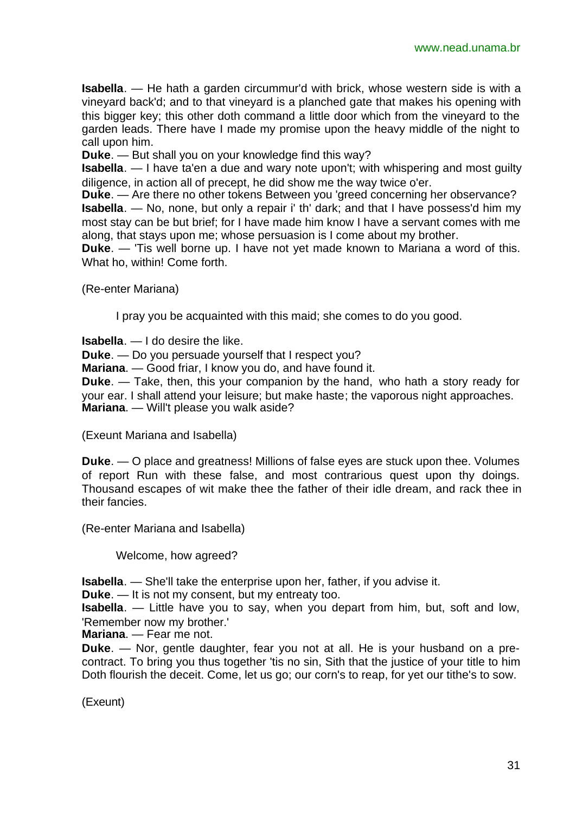**Isabella**. — He hath a garden circummur'd with brick, whose western side is with a vineyard back'd; and to that vineyard is a planched gate that makes his opening with this bigger key; this other doth command a little door which from the vineyard to the garden leads. There have I made my promise upon the heavy middle of the night to call upon him.

**Duke**. — But shall you on your knowledge find this way?

**Isabella**. — I have ta'en a due and wary note upon't; with whispering and most guilty diligence, in action all of precept, he did show me the way twice o'er.

**Duke**. — Are there no other tokens Between you 'greed concerning her observance? **Isabella**. — No, none, but only a repair i' th' dark; and that I have possess'd him my most stay can be but brief; for I have made him know I have a servant comes with me along, that stays upon me; whose persuasion is I come about my brother.

**Duke**. — 'Tis well borne up. I have not yet made known to Mariana a word of this. What ho, within! Come forth.

(Re-enter Mariana)

I pray you be acquainted with this maid; she comes to do you good.

**Isabella**. — I do desire the like.

**Duke**. — Do you persuade yourself that I respect you?

**Mariana**. — Good friar, I know you do, and have found it.

**Duke**. — Take, then, this your companion by the hand, who hath a story ready for your ear. I shall attend your leisure; but make haste; the vaporous night approaches. **Mariana**. — Will't please you walk aside?

(Exeunt Mariana and Isabella)

**Duke**. — O place and greatness! Millions of false eyes are stuck upon thee. Volumes of report Run with these false, and most contrarious quest upon thy doings. Thousand escapes of wit make thee the father of their idle dream, and rack thee in their fancies.

(Re-enter Mariana and Isabella)

Welcome, how agreed?

**Isabella**. — She'll take the enterprise upon her, father, if you advise it.

**Duke**. — It is not my consent, but my entreaty too.

**Isabella**. — Little have you to say, when you depart from him, but, soft and low, 'Remember now my brother.'

**Mariana**. — Fear me not.

**Duke**. — Nor, gentle daughter, fear you not at all. He is your husband on a precontract. To bring you thus together 'tis no sin, Sith that the justice of your title to him Doth flourish the deceit. Come, let us go; our corn's to reap, for yet our tithe's to sow.

(Exeunt)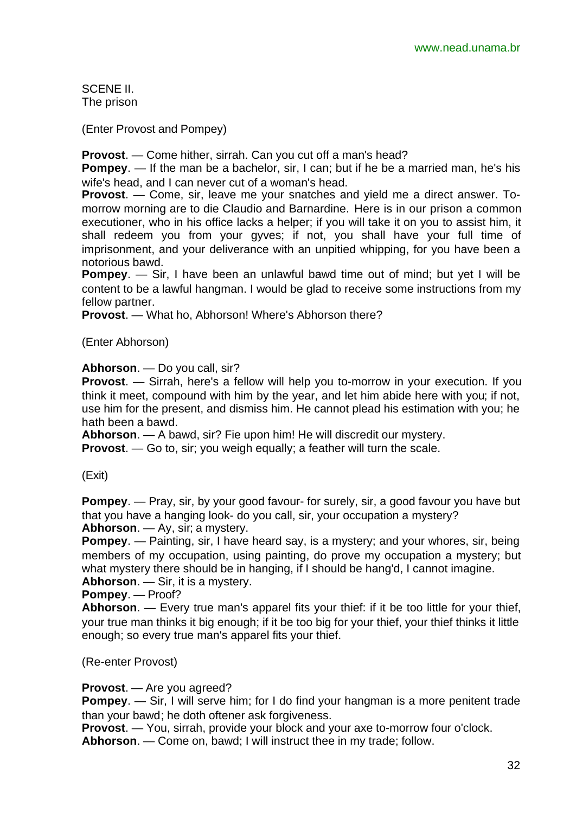SCENE II. The prison

(Enter Provost and Pompey)

**Provost**. — Come hither, sirrah. Can you cut off a man's head?

**Pompey**. — If the man be a bachelor, sir, I can; but if he be a married man, he's his wife's head, and I can never cut of a woman's head.

**Provost**. — Come, sir, leave me your snatches and yield me a direct answer. Tomorrow morning are to die Claudio and Barnardine. Here is in our prison a common executioner, who in his office lacks a helper; if you will take it on you to assist him, it shall redeem you from your gyves; if not, you shall have your full time of imprisonment, and your deliverance with an unpitied whipping, for you have been a notorious bawd.

**Pompey**. — Sir, I have been an unlawful bawd time out of mind; but yet I will be content to be a lawful hangman. I would be glad to receive some instructions from my fellow partner.

**Provost**. — What ho, Abhorson! Where's Abhorson there?

(Enter Abhorson)

**Abhorson**. — Do you call, sir?

**Provost**. — Sirrah, here's a fellow will help you to-morrow in your execution. If you think it meet, compound with him by the year, and let him abide here with you; if not, use him for the present, and dismiss him. He cannot plead his estimation with you; he hath been a bawd.

**Abhorson**. — A bawd, sir? Fie upon him! He will discredit our mystery.

**Provost**. — Go to, sir; you weigh equally; a feather will turn the scale.

(Exit)

**Pompey**. — Pray, sir, by your good favour- for surely, sir, a good favour you have but that you have a hanging look- do you call, sir, your occupation a mystery?

**Abhorson**. — Ay, sir; a mystery.

**Pompey**. — Painting, sir, I have heard say, is a mystery; and your whores, sir, being members of my occupation, using painting, do prove my occupation a mystery; but what mystery there should be in hanging, if I should be hang'd, I cannot imagine.

**Abhorson**. — Sir, it is a mystery.

**Pompey**. — Proof?

**Abhorson**. — Every true man's apparel fits your thief: if it be too little for your thief, your true man thinks it big enough; if it be too big for your thief, your thief thinks it little enough; so every true man's apparel fits your thief.

(Re-enter Provost)

#### **Provost**. — Are you agreed?

**Pompey**. — Sir, I will serve him; for I do find your hangman is a more penitent trade than your bawd; he doth oftener ask forgiveness.

**Provost**. — You, sirrah, provide your block and your axe to-morrow four o'clock. **Abhorson**. — Come on, bawd; I will instruct thee in my trade; follow.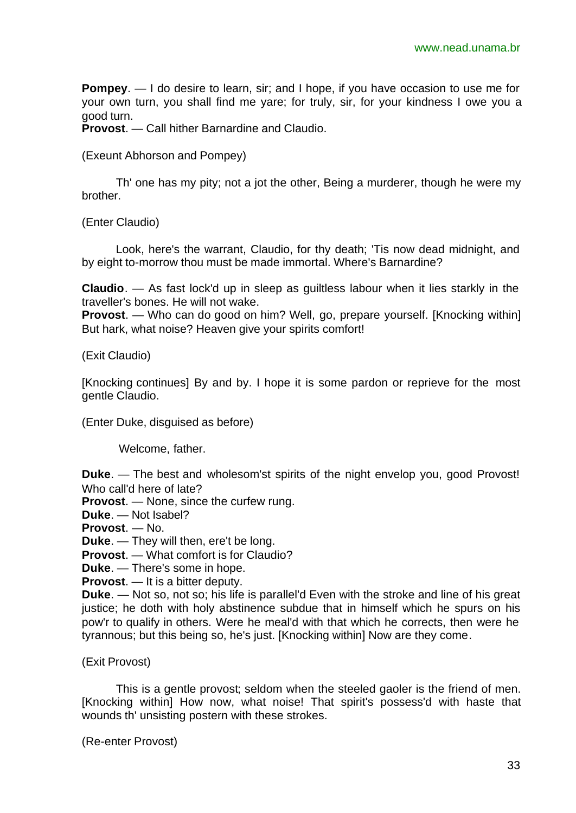**Pompey**. — I do desire to learn, sir; and I hope, if you have occasion to use me for your own turn, you shall find me yare; for truly, sir, for your kindness I owe you a good turn.

**Provost**. — Call hither Barnardine and Claudio.

(Exeunt Abhorson and Pompey)

Th' one has my pity; not a jot the other, Being a murderer, though he were my brother.

(Enter Claudio)

Look, here's the warrant, Claudio, for thy death; 'Tis now dead midnight, and by eight to-morrow thou must be made immortal. Where's Barnardine?

**Claudio**. — As fast lock'd up in sleep as guiltless labour when it lies starkly in the traveller's bones. He will not wake.

**Provost**. — Who can do good on him? Well, go, prepare yourself. [Knocking within] But hark, what noise? Heaven give your spirits comfort!

(Exit Claudio)

[Knocking continues] By and by. I hope it is some pardon or reprieve for the most gentle Claudio.

(Enter Duke, disguised as before)

Welcome, father.

**Duke**. — The best and wholesom'st spirits of the night envelop you, good Provost! Who call'd here of late?

**Provost**. — None, since the curfew rung.

**Duke**. — Not Isabel?

**Provost**. — No.

**Duke**. — They will then, ere't be long.

**Provost**. — What comfort is for Claudio?

**Duke**. — There's some in hope.

**Provost**. — It is a bitter deputy.

**Duke**. — Not so, not so; his life is parallel'd Even with the stroke and line of his great justice; he doth with holy abstinence subdue that in himself which he spurs on his pow'r to qualify in others. Were he meal'd with that which he corrects, then were he tyrannous; but this being so, he's just. [Knocking within] Now are they come.

(Exit Provost)

This is a gentle provost; seldom when the steeled gaoler is the friend of men. [Knocking within] How now, what noise! That spirit's possess'd with haste that wounds th' unsisting postern with these strokes.

(Re-enter Provost)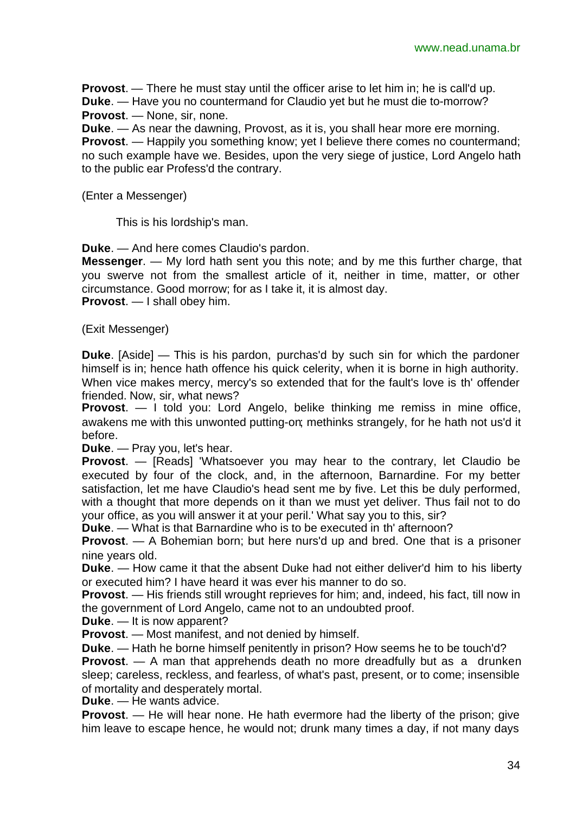**Provost**. — There he must stay until the officer arise to let him in; he is call'd up. **Duke**. — Have you no countermand for Claudio yet but he must die to-morrow? **Provost**. — None, sir, none.

**Duke**. — As near the dawning, Provost, as it is, you shall hear more ere morning.

**Provost.** — Happily you something know; yet I believe there comes no countermand; no such example have we. Besides, upon the very siege of justice, Lord Angelo hath to the public ear Profess'd the contrary.

(Enter a Messenger)

This is his lordship's man.

**Duke**. — And here comes Claudio's pardon.

**Messenger**. — My lord hath sent you this note; and by me this further charge, that you swerve not from the smallest article of it, neither in time, matter, or other circumstance. Good morrow; for as I take it, it is almost day. **Provost**. — I shall obey him.

(Exit Messenger)

**Duke**. [Aside] — This is his pardon, purchas'd by such sin for which the pardoner himself is in; hence hath offence his quick celerity, when it is borne in high authority. When vice makes mercy, mercy's so extended that for the fault's love is th' offender friended. Now, sir, what news?

**Provost**. — I told you: Lord Angelo, belike thinking me remiss in mine office, awakens me with this unwonted putting-on; methinks strangely, for he hath not us'd it before.

**Duke**. — Pray you, let's hear.

**Provost**. — [Reads] 'Whatsoever you may hear to the contrary, let Claudio be executed by four of the clock, and, in the afternoon, Barnardine. For my better satisfaction, let me have Claudio's head sent me by five. Let this be duly performed, with a thought that more depends on it than we must yet deliver. Thus fail not to do your office, as you will answer it at your peril.' What say you to this, sir?

**Duke**. — What is that Barnardine who is to be executed in th' afternoon?

**Provost**. — A Bohemian born; but here nurs'd up and bred. One that is a prisoner nine years old.

**Duke**. — How came it that the absent Duke had not either deliver'd him to his liberty or executed him? I have heard it was ever his manner to do so.

**Provost**. — His friends still wrought reprieves for him; and, indeed, his fact, till now in the government of Lord Angelo, came not to an undoubted proof.

**Duke**. — It is now apparent?

**Provost**. — Most manifest, and not denied by himself.

**Duke**. — Hath he borne himself penitently in prison? How seems he to be touch'd?

**Provost**. — A man that apprehends death no more dreadfully but as a drunken sleep; careless, reckless, and fearless, of what's past, present, or to come; insensible of mortality and desperately mortal.

**Duke**. — He wants advice.

**Provost**. — He will hear none. He hath evermore had the liberty of the prison; give him leave to escape hence, he would not; drunk many times a day, if not many days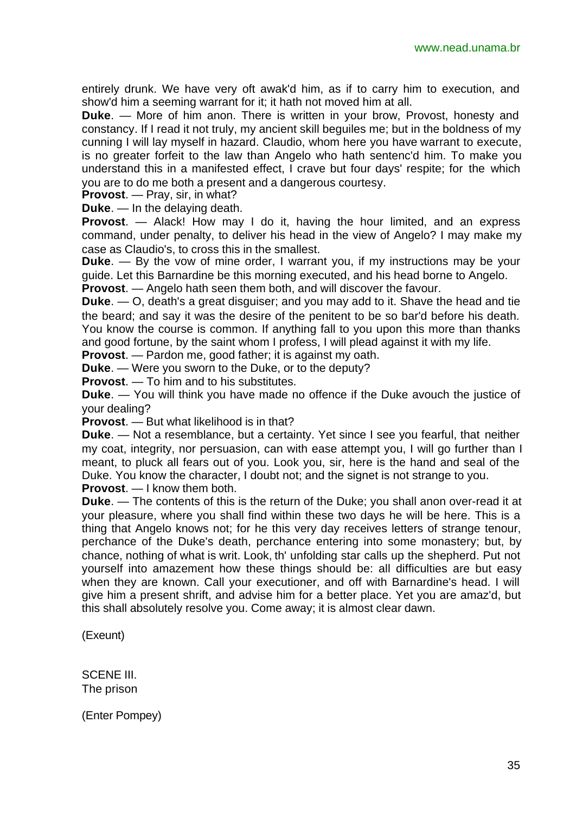entirely drunk. We have very oft awak'd him, as if to carry him to execution, and show'd him a seeming warrant for it; it hath not moved him at all.

**Duke**. — More of him anon. There is written in your brow, Provost, honesty and constancy. If I read it not truly, my ancient skill beguiles me; but in the boldness of my cunning I will lay myself in hazard. Claudio, whom here you have warrant to execute, is no greater forfeit to the law than Angelo who hath sentenc'd him. To make you understand this in a manifested effect, I crave but four days' respite; for the which you are to do me both a present and a dangerous courtesy.

**Provost**. — Pray, sir, in what?

**Duke**. — In the delaying death.

**Provost**. — Alack! How may I do it, having the hour limited, and an express command, under penalty, to deliver his head in the view of Angelo? I may make my case as Claudio's, to cross this in the smallest.

**Duke**. — By the vow of mine order, I warrant you, if my instructions may be your guide. Let this Barnardine be this morning executed, and his head borne to Angelo.

**Provost**. — Angelo hath seen them both, and will discover the favour.

**Duke**. — O, death's a great disguiser; and you may add to it. Shave the head and tie the beard; and say it was the desire of the penitent to be so bar'd before his death. You know the course is common. If anything fall to you upon this more than thanks

and good fortune, by the saint whom I profess, I will plead against it with my life.

**Provost**. — Pardon me, good father; it is against my oath.

**Duke**. — Were you sworn to the Duke, or to the deputy?

**Provost**. — To him and to his substitutes.

**Duke**. — You will think you have made no offence if the Duke avouch the justice of your dealing?

**Provost**. — But what likelihood is in that?

**Duke**. — Not a resemblance, but a certainty. Yet since I see you fearful, that neither my coat, integrity, nor persuasion, can with ease attempt you, I will go further than I meant, to pluck all fears out of you. Look you, sir, here is the hand and seal of the Duke. You know the character, I doubt not; and the signet is not strange to you.

**Provost**. — I know them both.

**Duke**. — The contents of this is the return of the Duke; you shall anon over-read it at your pleasure, where you shall find within these two days he will be here. This is a thing that Angelo knows not; for he this very day receives letters of strange tenour, perchance of the Duke's death, perchance entering into some monastery; but, by chance, nothing of what is writ. Look, th' unfolding star calls up the shepherd. Put not yourself into amazement how these things should be: all difficulties are but easy when they are known. Call your executioner, and off with Barnardine's head. I will give him a present shrift, and advise him for a better place. Yet you are amaz'd, but this shall absolutely resolve you. Come away; it is almost clear dawn.

(Exeunt)

SCENE III. The prison

(Enter Pompey)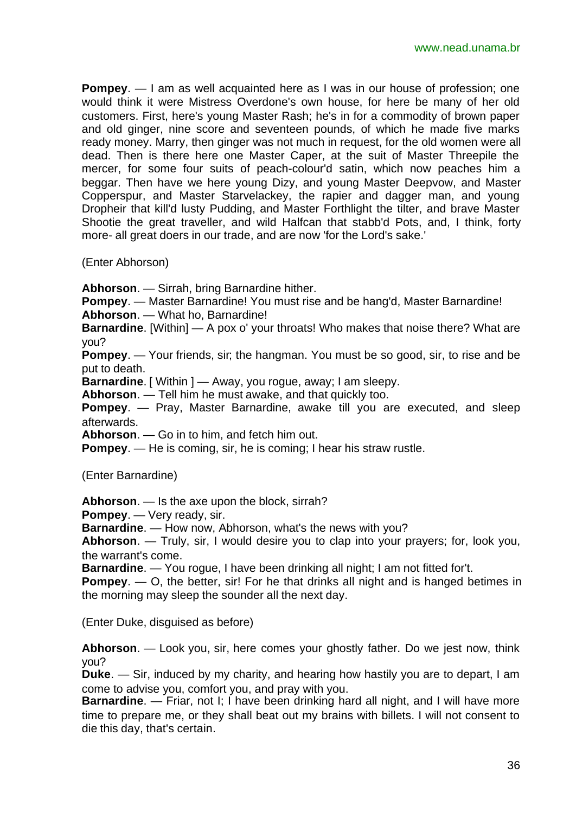**Pompey**. — I am as well acquainted here as I was in our house of profession; one would think it were Mistress Overdone's own house, for here be many of her old customers. First, here's young Master Rash; he's in for a commodity of brown paper and old ginger, nine score and seventeen pounds, of which he made five marks ready money. Marry, then ginger was not much in request, for the old women were all dead. Then is there here one Master Caper, at the suit of Master Threepile the mercer, for some four suits of peach-colour'd satin, which now peaches him a beggar. Then have we here young Dizy, and young Master Deepvow, and Master Copperspur, and Master Starvelackey, the rapier and dagger man, and young Dropheir that kill'd lusty Pudding, and Master Forthlight the tilter, and brave Master Shootie the great traveller, and wild Halfcan that stabb'd Pots, and, I think, forty more- all great doers in our trade, and are now 'for the Lord's sake.'

(Enter Abhorson)

**Abhorson**. — Sirrah, bring Barnardine hither.

**Pompey**. — Master Barnardine! You must rise and be hang'd, Master Barnardine! **Abhorson**. — What ho, Barnardine!

**Barnardine**. [Within] — A pox o' your throats! Who makes that noise there? What are you?

**Pompey**. — Your friends, sir; the hangman. You must be so good, sir, to rise and be put to death.

**Barnardine**. [ Within ] — Away, you roque, away; I am sleepy.

**Abhorson**. — Tell him he must awake, and that quickly too.

**Pompey**. — Pray, Master Barnardine, awake till you are executed, and sleep afterwards.

**Abhorson**. — Go in to him, and fetch him out.

**Pompey**. — He is coming, sir, he is coming; I hear his straw rustle.

(Enter Barnardine)

**Abhorson**. — Is the axe upon the block, sirrah?

**Pompey**. — Very ready, sir.

**Barnardine**. — How now, Abhorson, what's the news with you?

**Abhorson**. — Truly, sir, I would desire you to clap into your prayers; for, look you, the warrant's come.

**Barnardine**. — You rogue, I have been drinking all night; I am not fitted for't.

**Pompey.** — O, the better, sir! For he that drinks all night and is hanged betimes in the morning may sleep the sounder all the next day.

(Enter Duke, disguised as before)

**Abhorson**. — Look you, sir, here comes your ghostly father. Do we jest now, think you?

**Duke**. — Sir, induced by my charity, and hearing how hastily you are to depart, I am come to advise you, comfort you, and pray with you.

**Barnardine.** — Friar, not I; I have been drinking hard all night, and I will have more time to prepare me, or they shall beat out my brains with billets. I will not consent to die this day, that's certain.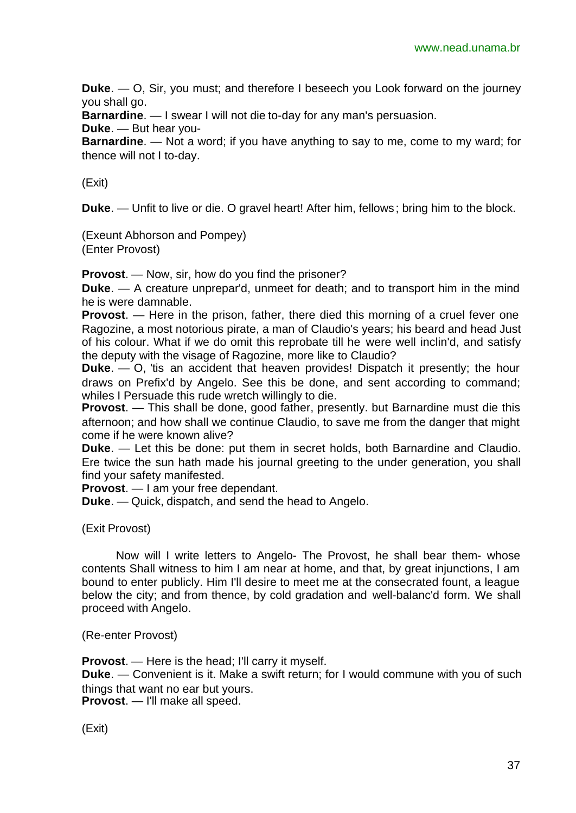**Duke**. — O, Sir, you must; and therefore I beseech you Look forward on the journey you shall go.

**Barnardine**. — I swear I will not die to-day for any man's persuasion.

**Duke**. — But hear you-

**Barnardine**. — Not a word; if you have anything to say to me, come to my ward; for thence will not I to-day.

(Exit)

**Duke**. — Unfit to live or die. O gravel heart! After him, fellows; bring him to the block.

(Exeunt Abhorson and Pompey) (Enter Provost)

**Provost**. — Now, sir, how do you find the prisoner?

**Duke**. — A creature unprepar'd, unmeet for death; and to transport him in the mind he is were damnable.

**Provost**. — Here in the prison, father, there died this morning of a cruel fever one Ragozine, a most notorious pirate, a man of Claudio's years; his beard and head Just of his colour. What if we do omit this reprobate till he were well inclin'd, and satisfy the deputy with the visage of Ragozine, more like to Claudio?

**Duke**. — O, 'tis an accident that heaven provides! Dispatch it presently; the hour draws on Prefix'd by Angelo. See this be done, and sent according to command; whiles I Persuade this rude wretch willingly to die.

**Provost**. — This shall be done, good father, presently. but Barnardine must die this afternoon; and how shall we continue Claudio, to save me from the danger that might come if he were known alive?

**Duke**. — Let this be done: put them in secret holds, both Barnardine and Claudio. Ere twice the sun hath made his journal greeting to the under generation, you shall find your safety manifested.

**Provost**. — I am your free dependant.

**Duke**. — Quick, dispatch, and send the head to Angelo.

(Exit Provost)

Now will I write letters to Angelo- The Provost, he shall bear them- whose contents Shall witness to him I am near at home, and that, by great injunctions, I am bound to enter publicly. Him I'll desire to meet me at the consecrated fount, a league below the city; and from thence, by cold gradation and well-balanc'd form. We shall proceed with Angelo.

(Re-enter Provost)

**Provost**. — Here is the head; I'll carry it myself.

**Duke**. — Convenient is it. Make a swift return; for I would commune with you of such things that want no ear but yours.

**Provost**. — I'll make all speed.

(Exit)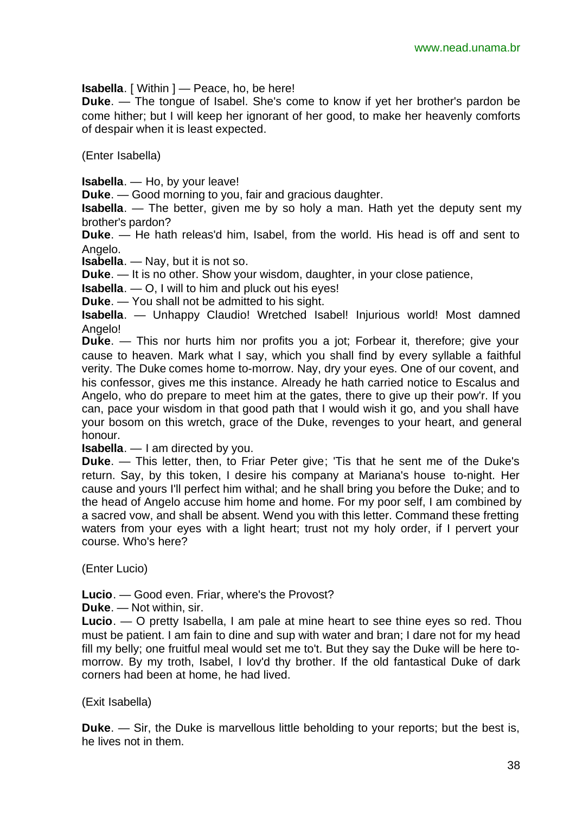**Isabella**. [ Within ] — Peace, ho, be here!

**Duke**. — The tongue of Isabel. She's come to know if yet her brother's pardon be come hither; but I will keep her ignorant of her good, to make her heavenly comforts of despair when it is least expected.

(Enter Isabella)

**Isabella**. — Ho, by your leave!

**Duke**. — Good morning to you, fair and gracious daughter.

**Isabella**. — The better, given me by so holy a man. Hath yet the deputy sent my brother's pardon?

**Duke**. — He hath releas'd him, Isabel, from the world. His head is off and sent to Angelo.

**Isabella**. — Nay, but it is not so.

**Duke**. — It is no other. Show your wisdom, daughter, in your close patience,

**Isabella**. — O, I will to him and pluck out his eyes!

**Duke**. — You shall not be admitted to his sight.

**Isabella**. — Unhappy Claudio! Wretched Isabel! Injurious world! Most damned Angelo!

**Duke**. — This nor hurts him nor profits you a jot; Forbear it, therefore; give your cause to heaven. Mark what I say, which you shall find by every syllable a faithful verity. The Duke comes home to-morrow. Nay, dry your eyes. One of our covent, and his confessor, gives me this instance. Already he hath carried notice to Escalus and Angelo, who do prepare to meet him at the gates, there to give up their pow'r. If you can, pace your wisdom in that good path that I would wish it go, and you shall have your bosom on this wretch, grace of the Duke, revenges to your heart, and general honour.

**Isabella**. — I am directed by you.

**Duke**. — This letter, then, to Friar Peter give; 'Tis that he sent me of the Duke's return. Say, by this token, I desire his company at Mariana's house to-night. Her cause and yours I'll perfect him withal; and he shall bring you before the Duke; and to the head of Angelo accuse him home and home. For my poor self, I am combined by a sacred vow, and shall be absent. Wend you with this letter. Command these fretting waters from your eyes with a light heart; trust not my holy order, if I pervert your course. Who's here?

(Enter Lucio)

**Lucio**. — Good even. Friar, where's the Provost?

**Duke**. — Not within, sir.

**Lucio**. — O pretty Isabella, I am pale at mine heart to see thine eyes so red. Thou must be patient. I am fain to dine and sup with water and bran; I dare not for my head fill my belly; one fruitful meal would set me to't. But they say the Duke will be here tomorrow. By my troth, Isabel, I lov'd thy brother. If the old fantastical Duke of dark corners had been at home, he had lived.

(Exit Isabella)

**Duke**. — Sir, the Duke is marvellous little beholding to your reports; but the best is, he lives not in them.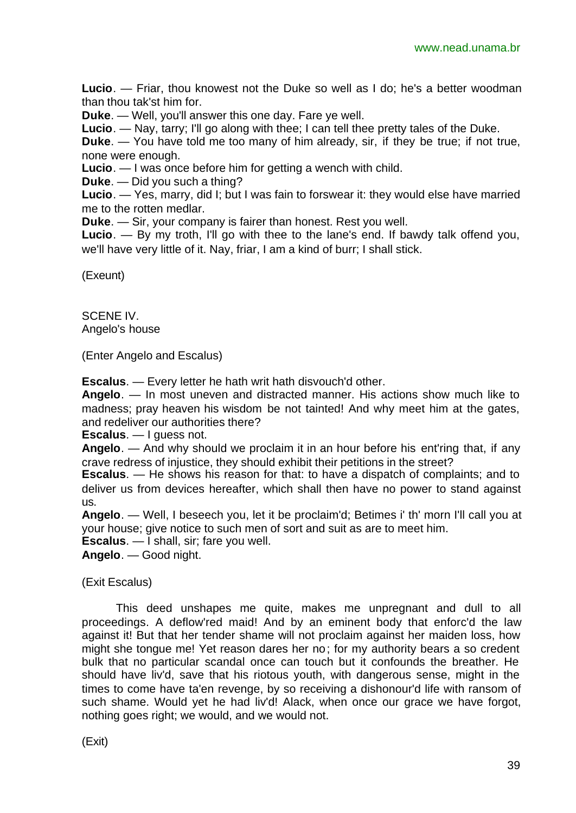**Lucio**. — Friar, thou knowest not the Duke so well as I do; he's a better woodman than thou tak'st him for.

**Duke**. — Well, you'll answer this one day. Fare ye well.

**Lucio**. — Nay, tarry; I'll go along with thee; I can tell thee pretty tales of the Duke.

**Duke**. — You have told me too many of him already, sir, if they be true; if not true, none were enough.

**Lucio**. — I was once before him for getting a wench with child.

**Duke**. — Did you such a thing?

**Lucio**. — Yes, marry, did I; but I was fain to forswear it: they would else have married me to the rotten medlar.

**Duke**. — Sir, your company is fairer than honest. Rest you well.

**Lucio**. — By my troth, I'll go with thee to the lane's end. If bawdy talk offend you, we'll have very little of it. Nay, friar, I am a kind of burr; I shall stick.

(Exeunt)

SCENE IV. Angelo's house

(Enter Angelo and Escalus)

**Escalus**. — Every letter he hath writ hath disvouch'd other.

**Angelo**. — In most uneven and distracted manner. His actions show much like to madness; pray heaven his wisdom be not tainted! And why meet him at the gates, and redeliver our authorities there?

**Escalus**. — I guess not.

**Angelo**. — And why should we proclaim it in an hour before his ent'ring that, if any crave redress of injustice, they should exhibit their petitions in the street?

**Escalus**. — He shows his reason for that: to have a dispatch of complaints; and to deliver us from devices hereafter, which shall then have no power to stand against us.

**Angelo**. — Well, I beseech you, let it be proclaim'd; Betimes i' th' morn I'll call you at your house; give notice to such men of sort and suit as are to meet him.

**Escalus**. — I shall, sir; fare you well.

**Angelo**. — Good night.

#### (Exit Escalus)

This deed unshapes me quite, makes me unpregnant and dull to all proceedings. A deflow'red maid! And by an eminent body that enforc'd the law against it! But that her tender shame will not proclaim against her maiden loss, how might she tongue me! Yet reason dares her no; for my authority bears a so credent bulk that no particular scandal once can touch but it confounds the breather. He should have liv'd, save that his riotous youth, with dangerous sense, might in the times to come have ta'en revenge, by so receiving a dishonour'd life with ransom of such shame. Would yet he had liv'd! Alack, when once our grace we have forgot, nothing goes right; we would, and we would not.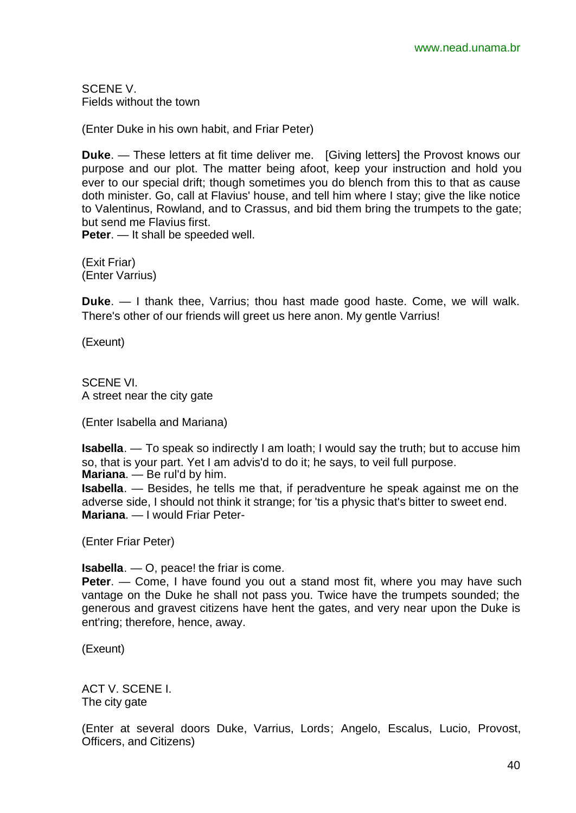SCENE V. Fields without the town

(Enter Duke in his own habit, and Friar Peter)

**Duke**. — These letters at fit time deliver me. [Giving letters] the Provost knows our purpose and our plot. The matter being afoot, keep your instruction and hold you ever to our special drift; though sometimes you do blench from this to that as cause doth minister. Go, call at Flavius' house, and tell him where I stay; give the like notice to Valentinus, Rowland, and to Crassus, and bid them bring the trumpets to the gate; but send me Flavius first.

**Peter**. — It shall be speeded well.

(Exit Friar) (Enter Varrius)

**Duke**. — I thank thee, Varrius; thou hast made good haste. Come, we will walk. There's other of our friends will greet us here anon. My gentle Varrius!

(Exeunt)

SCENE VI. A street near the city gate

(Enter Isabella and Mariana)

**Isabella**. — To speak so indirectly I am loath; I would say the truth; but to accuse him so, that is your part. Yet I am advis'd to do it; he says, to veil full purpose. **Mariana**. — Be rul'd by him.

**Isabella**. — Besides, he tells me that, if peradventure he speak against me on the adverse side, I should not think it strange; for 'tis a physic that's bitter to sweet end. **Mariana**. — I would Friar Peter-

(Enter Friar Peter)

**Isabella**. — O, peace! the friar is come.

Peter. — Come, I have found you out a stand most fit, where you may have such vantage on the Duke he shall not pass you. Twice have the trumpets sounded; the generous and gravest citizens have hent the gates, and very near upon the Duke is ent'ring; therefore, hence, away.

(Exeunt)

ACT V. SCENE I. The city gate

(Enter at several doors Duke, Varrius, Lords; Angelo, Escalus, Lucio, Provost, Officers, and Citizens)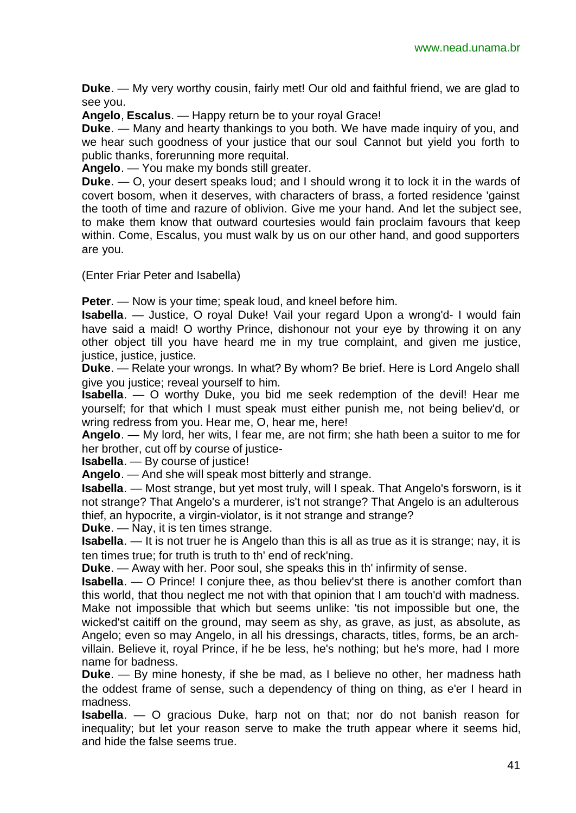**Duke**. — My very worthy cousin, fairly met! Our old and faithful friend, we are glad to see you.

**Angelo**, **Escalus**. — Happy return be to your royal Grace!

**Duke**. — Many and hearty thankings to you both. We have made inquiry of you, and we hear such goodness of your justice that our soul Cannot but yield you forth to public thanks, forerunning more requital.

**Angelo**. — You make my bonds still greater.

**Duke**. — O, your desert speaks loud; and I should wrong it to lock it in the wards of covert bosom, when it deserves, with characters of brass, a forted residence 'gainst the tooth of time and razure of oblivion. Give me your hand. And let the subject see, to make them know that outward courtesies would fain proclaim favours that keep within. Come, Escalus, you must walk by us on our other hand, and good supporters are you.

(Enter Friar Peter and Isabella)

**Peter**. — Now is your time; speak loud, and kneel before him.

**Isabella**. — Justice, O royal Duke! Vail your regard Upon a wrong'd- I would fain have said a maid! O worthy Prince, dishonour not your eye by throwing it on any other object till you have heard me in my true complaint, and given me justice, justice, justice, justice,

**Duke**. — Relate your wrongs. In what? By whom? Be brief. Here is Lord Angelo shall give you justice; reveal yourself to him.

**Isabella**. — O worthy Duke, you bid me seek redemption of the devil! Hear me yourself; for that which I must speak must either punish me, not being believ'd, or wring redress from you. Hear me, O, hear me, here!

**Angelo**. — My lord, her wits, I fear me, are not firm; she hath been a suitor to me for her brother, cut off by course of justice-

**Isabella**. — By course of justice!

**Angelo**. — And she will speak most bitterly and strange.

**Isabella**. — Most strange, but yet most truly, will I speak. That Angelo's forsworn, is it not strange? That Angelo's a murderer, is't not strange? That Angelo is an adulterous thief, an hypocrite, a virgin-violator, is it not strange and strange?

**Duke**. — Nay, it is ten times strange.

**Isabella**. — It is not truer he is Angelo than this is all as true as it is strange; nay, it is ten times true; for truth is truth to th' end of reck'ning.

**Duke**. — Away with her. Poor soul, she speaks this in th' infirmity of sense.

**Isabella**. — O Prince! I conjure thee, as thou believ'st there is another comfort than this world, that thou neglect me not with that opinion that I am touch'd with madness.

Make not impossible that which but seems unlike: 'tis not impossible but one, the wicked'st caitiff on the ground, may seem as shy, as grave, as just, as absolute, as Angelo; even so may Angelo, in all his dressings, characts, titles, forms, be an archvillain. Believe it, royal Prince, if he be less, he's nothing; but he's more, had I more name for badness.

**Duke**. — By mine honesty, if she be mad, as I believe no other, her madness hath the oddest frame of sense, such a dependency of thing on thing, as e'er I heard in madness.

**Isabella**. — O gracious Duke, harp not on that; nor do not banish reason for inequality; but let your reason serve to make the truth appear where it seems hid, and hide the false seems true.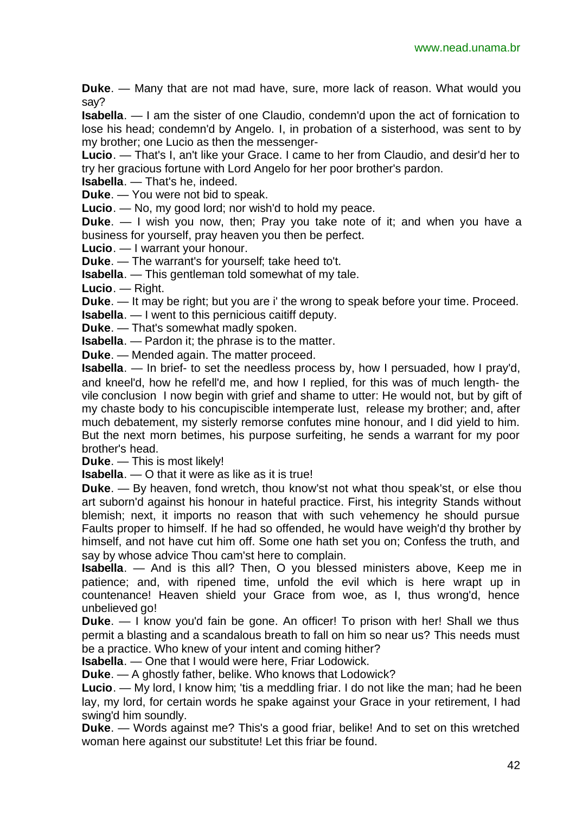**Duke**. — Many that are not mad have, sure, more lack of reason. What would you say?

**Isabella**. — I am the sister of one Claudio, condemn'd upon the act of fornication to lose his head; condemn'd by Angelo. I, in probation of a sisterhood, was sent to by my brother; one Lucio as then the messenger-

**Lucio**. — That's I, an't like your Grace. I came to her from Claudio, and desir'd her to try her gracious fortune with Lord Angelo for her poor brother's pardon.

**Isabella**. — That's he, indeed.

**Duke**. — You were not bid to speak.

**Lucio**. — No, my good lord; nor wish'd to hold my peace.

**Duke**. — I wish you now, then; Pray you take note of it; and when you have a business for yourself, pray heaven you then be perfect.

**Lucio**. — I warrant your honour.

**Duke**. — The warrant's for yourself; take heed to't.

**Isabella**. — This gentleman told somewhat of my tale.

**Lucio**. — Right.

**Duke**. — It may be right; but you are i' the wrong to speak before your time. Proceed.

**Isabella**. — I went to this pernicious caitiff deputy.

**Duke**. — That's somewhat madly spoken.

**Isabella**. — Pardon it; the phrase is to the matter.

**Duke**. — Mended again. The matter proceed.

**Isabella**. — In brief- to set the needless process by, how I persuaded, how I pray'd, and kneel'd, how he refell'd me, and how I replied, for this was of much length- the vile conclusion I now begin with grief and shame to utter: He would not, but by gift of my chaste body to his concupiscible intemperate lust, release my brother; and, after much debatement, my sisterly remorse confutes mine honour, and I did yield to him. But the next morn betimes, his purpose surfeiting, he sends a warrant for my poor brother's head.

**Duke**. — This is most likely!

**Isabella**. — O that it were as like as it is true!

**Duke**. — By heaven, fond wretch, thou know'st not what thou speak'st, or else thou art suborn'd against his honour in hateful practice. First, his integrity Stands without blemish; next, it imports no reason that with such vehemency he should pursue Faults proper to himself. If he had so offended, he would have weigh'd thy brother by himself, and not have cut him off. Some one hath set you on; Confess the truth, and say by whose advice Thou cam'st here to complain.

**Isabella**. — And is this all? Then, O you blessed ministers above, Keep me in patience; and, with ripened time, unfold the evil which is here wrapt up in countenance! Heaven shield your Grace from woe, as I, thus wrong'd, hence unbelieved go!

**Duke**. — I know you'd fain be gone. An officer! To prison with her! Shall we thus permit a blasting and a scandalous breath to fall on him so near us? This needs must be a practice. Who knew of your intent and coming hither?

**Isabella**. — One that I would were here, Friar Lodowick.

**Duke**. — A ghostly father, belike. Who knows that Lodowick?

**Lucio**. — My lord, I know him; 'tis a meddling friar. I do not like the man; had he been lay, my lord, for certain words he spake against your Grace in your retirement, I had swing'd him soundly.

**Duke**. — Words against me? This's a good friar, belike! And to set on this wretched woman here against our substitute! Let this friar be found.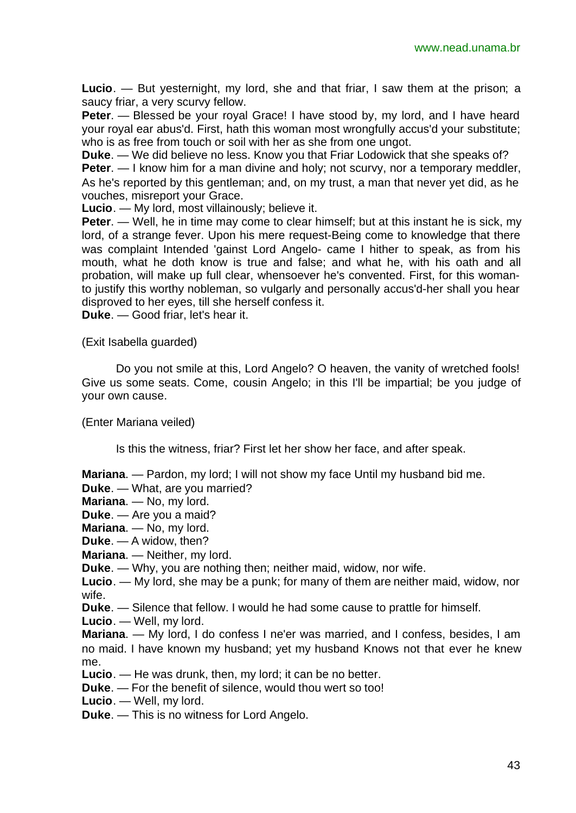**Lucio**. — But yesternight, my lord, she and that friar, I saw them at the prison; a saucy friar, a very scurvy fellow.

Peter. - Blessed be your royal Grace! I have stood by, my lord, and I have heard your royal ear abus'd. First, hath this woman most wrongfully accus'd your substitute; who is as free from touch or soil with her as she from one ungot.

**Duke**. — We did believe no less. Know you that Friar Lodowick that she speaks of?

**Peter**. — I know him for a man divine and holy; not scurvy, nor a temporary meddler, As he's reported by this gentleman; and, on my trust, a man that never yet did, as he vouches, misreport your Grace.

**Lucio**. — My lord, most villainously; believe it.

**Peter**. — Well, he in time may come to clear himself; but at this instant he is sick, my lord, of a strange fever. Upon his mere request-Being come to knowledge that there was complaint Intended 'gainst Lord Angelo- came I hither to speak, as from his mouth, what he doth know is true and false; and what he, with his oath and all probation, will make up full clear, whensoever he's convented. First, for this womanto justify this worthy nobleman, so vulgarly and personally accus'd-her shall you hear disproved to her eyes, till she herself confess it.

**Duke**. — Good friar, let's hear it.

(Exit Isabella guarded)

Do you not smile at this, Lord Angelo? O heaven, the vanity of wretched fools! Give us some seats. Come, cousin Angelo; in this I'll be impartial; be you judge of your own cause.

(Enter Mariana veiled)

Is this the witness, friar? First let her show her face, and after speak.

**Mariana**. — Pardon, my lord; I will not show my face Until my husband bid me.

**Duke**. — What, are you married?

**Mariana**. — No, my lord.

**Duke**. — Are you a maid?

**Mariana**. — No, my lord.

**Duke**. — A widow, then?

**Mariana**. — Neither, my lord.

**Duke**. — Why, you are nothing then; neither maid, widow, nor wife.

**Lucio**. — My lord, she may be a punk; for many of them are neither maid, widow, nor wife.

**Duke**. — Silence that fellow. I would he had some cause to prattle for himself.

**Lucio**. — Well, my lord.

**Mariana**. — My lord, I do confess I ne'er was married, and I confess, besides, I am no maid. I have known my husband; yet my husband Knows not that ever he knew me.

**Lucio**. — He was drunk, then, my lord; it can be no better.

**Duke**. — For the benefit of silence, would thou wert so too!

**Lucio**. — Well, my lord.

**Duke**. — This is no witness for Lord Angelo.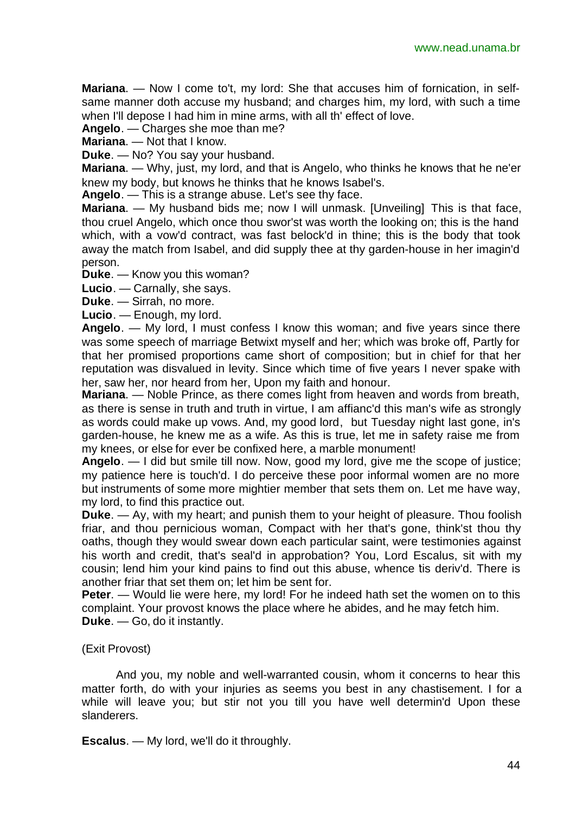**Mariana**. — Now I come to't, my lord: She that accuses him of fornication, in selfsame manner doth accuse my husband; and charges him, my lord, with such a time when I'll depose I had him in mine arms, with all th' effect of love.

**Angelo**. — Charges she moe than me?

**Mariana**. — Not that I know.

**Duke**. — No? You say your husband.

**Mariana**. — Why, just, my lord, and that is Angelo, who thinks he knows that he ne'er knew my body, but knows he thinks that he knows Isabel's.

**Angelo**. — This is a strange abuse. Let's see thy face.

**Mariana**. — My husband bids me; now I will unmask. [Unveiling] This is that face, thou cruel Angelo, which once thou swor'st was worth the looking on; this is the hand which, with a vow'd contract, was fast belock'd in thine; this is the body that took away the match from Isabel, and did supply thee at thy garden-house in her imagin'd person.

**Duke**. — Know you this woman?

**Lucio**. — Carnally, she says.

**Duke**. — Sirrah, no more.

**Lucio**. — Enough, my lord.

**Angelo**. — My lord, I must confess I know this woman; and five years since there was some speech of marriage Betwixt myself and her; which was broke off, Partly for that her promised proportions came short of composition; but in chief for that her reputation was disvalued in levity. Since which time of five years I never spake with her, saw her, nor heard from her, Upon my faith and honour.

**Mariana**. — Noble Prince, as there comes light from heaven and words from breath, as there is sense in truth and truth in virtue, I am affianc'd this man's wife as strongly as words could make up vows. And, my good lord, but Tuesday night last gone, in's garden-house, he knew me as a wife. As this is true, let me in safety raise me from my knees, or else for ever be confixed here, a marble monument!

**Angelo**. — I did but smile till now. Now, good my lord, give me the scope of justice; my patience here is touch'd. I do perceive these poor informal women are no more but instruments of some more mightier member that sets them on. Let me have way, my lord, to find this practice out.

**Duke**. — Ay, with my heart; and punish them to your height of pleasure. Thou foolish friar, and thou pernicious woman, Compact with her that's gone, think'st thou thy oaths, though they would swear down each particular saint, were testimonies against his worth and credit, that's seal'd in approbation? You, Lord Escalus, sit with my cousin; lend him your kind pains to find out this abuse, whence tis deriv'd. There is another friar that set them on; let him be sent for.

**Peter.** — Would lie were here, my lord! For he indeed hath set the women on to this complaint. Your provost knows the place where he abides, and he may fetch him. **Duke**. — Go, do it instantly.

#### (Exit Provost)

And you, my noble and well-warranted cousin, whom it concerns to hear this matter forth, do with your injuries as seems you best in any chastisement. I for a while will leave you; but stir not you till you have well determin'd Upon these slanderers.

**Escalus**. — My lord, we'll do it throughly.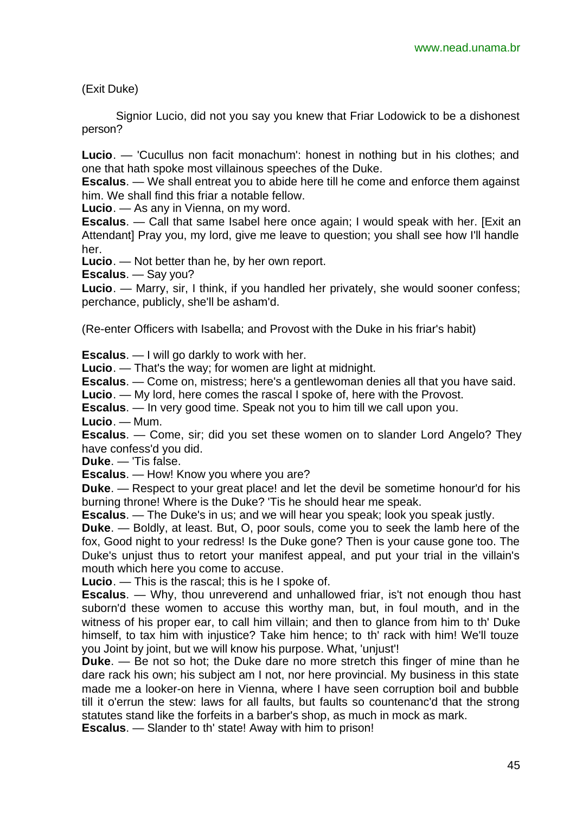(Exit Duke)

Signior Lucio, did not you say you knew that Friar Lodowick to be a dishonest person?

**Lucio**. — 'Cucullus non facit monachum': honest in nothing but in his clothes; and one that hath spoke most villainous speeches of the Duke.

**Escalus**. — We shall entreat you to abide here till he come and enforce them against him. We shall find this friar a notable fellow.

**Lucio**. — As any in Vienna, on my word.

**Escalus**. — Call that same Isabel here once again; I would speak with her. [Exit an Attendant] Pray you, my lord, give me leave to question; you shall see how I'll handle her.

**Lucio**. — Not better than he, by her own report.

**Escalus**. — Say you?

**Lucio**. — Marry, sir, I think, if you handled her privately, she would sooner confess; perchance, publicly, she'll be asham'd.

(Re-enter Officers with Isabella; and Provost with the Duke in his friar's habit)

**Escalus**. — I will go darkly to work with her.

**Lucio**. — That's the way; for women are light at midnight.

**Escalus**. — Come on, mistress; here's a gentlewoman denies all that you have said.

**Lucio**. — My lord, here comes the rascal I spoke of, here with the Provost.

**Escalus**. — In very good time. Speak not you to him till we call upon you.

**Lucio**. — Mum.

**Escalus**. — Come, sir; did you set these women on to slander Lord Angelo? They have confess'd you did.

**Duke**. — 'Tis false.

**Escalus**. — How! Know you where you are?

**Duke**. — Respect to your great place! and let the devil be sometime honour'd for his burning throne! Where is the Duke? 'Tis he should hear me speak.

**Escalus**. — The Duke's in us; and we will hear you speak; look you speak justly.

**Duke**. — Boldly, at least. But, O, poor souls, come you to seek the lamb here of the fox, Good night to your redress! Is the Duke gone? Then is your cause gone too. The Duke's unjust thus to retort your manifest appeal, and put your trial in the villain's mouth which here you come to accuse.

**Lucio**. — This is the rascal; this is he I spoke of.

**Escalus**. — Why, thou unreverend and unhallowed friar, is't not enough thou hast suborn'd these women to accuse this worthy man, but, in foul mouth, and in the witness of his proper ear, to call him villain; and then to glance from him to th' Duke himself, to tax him with injustice? Take him hence; to th' rack with him! We'll touze you Joint by joint, but we will know his purpose. What, 'unjust'!

**Duke**. — Be not so hot; the Duke dare no more stretch this finger of mine than he dare rack his own; his subject am I not, nor here provincial. My business in this state made me a looker-on here in Vienna, where I have seen corruption boil and bubble till it o'errun the stew: laws for all faults, but faults so countenanc'd that the strong statutes stand like the forfeits in a barber's shop, as much in mock as mark.

**Escalus**. — Slander to th' state! Away with him to prison!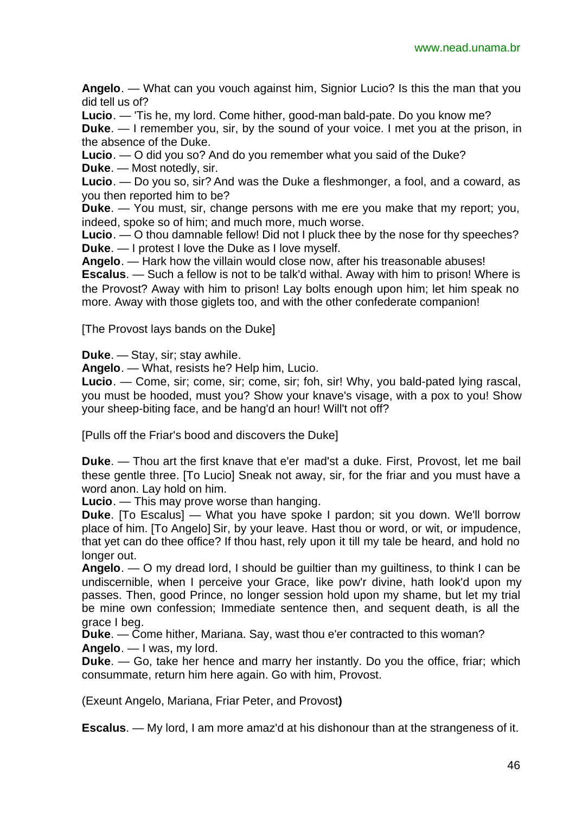**Angelo**. — What can you vouch against him, Signior Lucio? Is this the man that you did tell us of?

**Lucio**. — 'Tis he, my lord. Come hither, good-man bald-pate. Do you know me?

**Duke**. — I remember you, sir, by the sound of your voice. I met you at the prison, in the absence of the Duke.

**Lucio**. — O did you so? And do you remember what you said of the Duke? **Duke**. — Most notedly, sir.

**Lucio**. — Do you so, sir? And was the Duke a fleshmonger, a fool, and a coward, as you then reported him to be?

**Duke**. — You must, sir, change persons with me ere you make that my report; you, indeed, spoke so of him; and much more, much worse.

**Lucio**. — O thou damnable fellow! Did not I pluck thee by the nose for thy speeches? **Duke**. — I protest I love the Duke as I love myself.

**Angelo**. — Hark how the villain would close now, after his treasonable abuses!

**Escalus**. — Such a fellow is not to be talk'd withal. Away with him to prison! Where is the Provost? Away with him to prison! Lay bolts enough upon him; let him speak no more. Away with those giglets too, and with the other confederate companion!

[The Provost lays bands on the Duke]

**Duke**. — Stay, sir; stay awhile.

**Angelo**. — What, resists he? Help him, Lucio.

**Lucio**. — Come, sir; come, sir; come, sir; foh, sir! Why, you bald-pated lying rascal, you must be hooded, must you? Show your knave's visage, with a pox to you! Show your sheep-biting face, and be hang'd an hour! Will't not off?

[Pulls off the Friar's bood and discovers the Duke]

**Duke**. — Thou art the first knave that e'er mad'st a duke. First, Provost, let me bail these gentle three. [To Lucio] Sneak not away, sir, for the friar and you must have a word anon. Lay hold on him.

**Lucio**. — This may prove worse than hanging.

**Duke**. [To Escalus] — What you have spoke I pardon; sit you down. We'll borrow place of him. [To Angelo] Sir, by your leave. Hast thou or word, or wit, or impudence, that yet can do thee office? If thou hast, rely upon it till my tale be heard, and hold no longer out.

**Angelo**. — O my dread lord, I should be guiltier than my guiltiness, to think I can be undiscernible, when I perceive your Grace, like pow'r divine, hath look'd upon my passes. Then, good Prince, no longer session hold upon my shame, but let my trial be mine own confession; Immediate sentence then, and sequent death, is all the grace I beg.

**Duke**. — Come hither, Mariana. Say, wast thou e'er contracted to this woman? **Angelo**. — I was, my lord.

**Duke**. — Go, take her hence and marry her instantly. Do you the office, friar; which consummate, return him here again. Go with him, Provost.

(Exeunt Angelo, Mariana, Friar Peter, and Provost**)**

**Escalus**. — My lord, I am more amaz'd at his dishonour than at the strangeness of it.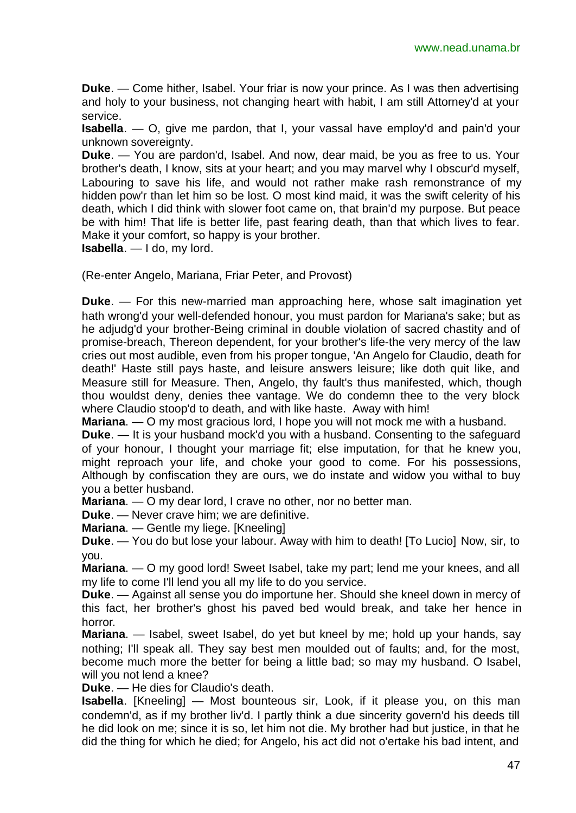**Duke**. — Come hither, Isabel. Your friar is now your prince. As I was then advertising and holy to your business, not changing heart with habit, I am still Attorney'd at your service.

**Isabella**. — O, give me pardon, that I, your vassal have employ'd and pain'd your unknown sovereignty.

**Duke**. — You are pardon'd, Isabel. And now, dear maid, be you as free to us. Your brother's death, I know, sits at your heart; and you may marvel why I obscur'd myself, Labouring to save his life, and would not rather make rash remonstrance of my hidden pow'r than let him so be lost. O most kind maid, it was the swift celerity of his death, which I did think with slower foot came on, that brain'd my purpose. But peace be with him! That life is better life, past fearing death, than that which lives to fear. Make it your comfort, so happy is your brother.

**Isabella**. — I do, my lord.

(Re-enter Angelo, Mariana, Friar Peter, and Provost)

**Duke**. — For this new-married man approaching here, whose salt imagination yet hath wrong'd your well-defended honour, you must pardon for Mariana's sake; but as he adjudg'd your brother-Being criminal in double violation of sacred chastity and of promise-breach, Thereon dependent, for your brother's life-the very mercy of the law cries out most audible, even from his proper tongue, 'An Angelo for Claudio, death for death!' Haste still pays haste, and leisure answers leisure; like doth quit like, and Measure still for Measure. Then, Angelo, thy fault's thus manifested, which, though thou wouldst deny, denies thee vantage. We do condemn thee to the very block where Claudio stoop'd to death, and with like haste. Away with him!

**Mariana**. — O my most gracious lord, I hope you will not mock me with a husband.

**Duke**. — It is your husband mock'd you with a husband. Consenting to the safeguard of your honour, I thought your marriage fit; else imputation, for that he knew you, might reproach your life, and choke your good to come. For his possessions, Although by confiscation they are ours, we do instate and widow you withal to buy you a better husband.

**Mariana**. — O my dear lord, I crave no other, nor no better man.

**Duke**. — Never crave him; we are definitive.

**Mariana**. — Gentle my liege. [Kneeling]

**Duke**. — You do but lose your labour. Away with him to death! [To Lucio] Now, sir, to you.

**Mariana**. — O my good lord! Sweet Isabel, take my part; lend me your knees, and all my life to come I'll lend you all my life to do you service.

**Duke**. — Against all sense you do importune her. Should she kneel down in mercy of this fact, her brother's ghost his paved bed would break, and take her hence in horror.

**Mariana**. — Isabel, sweet Isabel, do yet but kneel by me; hold up your hands, say nothing; I'll speak all. They say best men moulded out of faults; and, for the most, become much more the better for being a little bad; so may my husband. O Isabel, will you not lend a knee?

**Duke**. — He dies for Claudio's death.

**Isabella**. [Kneeling] — Most bounteous sir, Look, if it please you, on this man condemn'd, as if my brother liv'd. I partly think a due sincerity govern'd his deeds till he did look on me; since it is so, let him not die. My brother had but justice, in that he did the thing for which he died; for Angelo, his act did not o'ertake his bad intent, and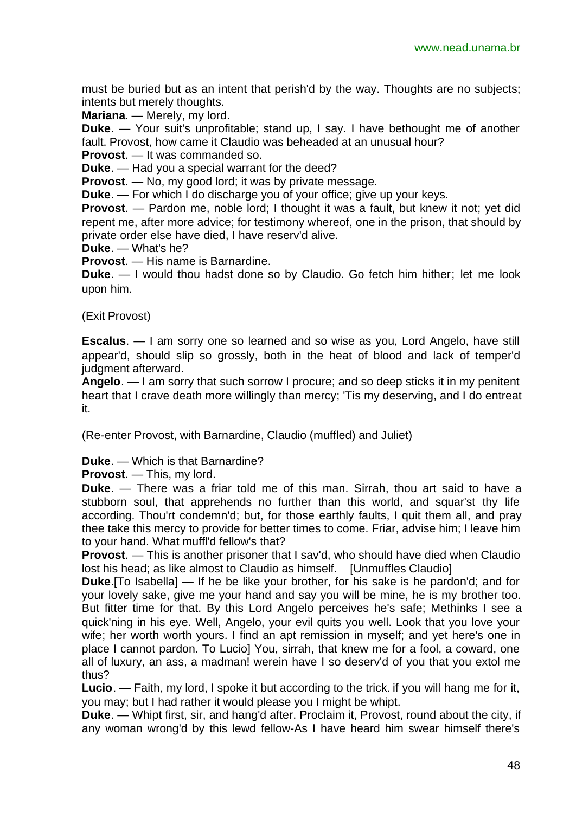must be buried but as an intent that perish'd by the way. Thoughts are no subjects; intents but merely thoughts.

**Mariana**. — Merely, my lord.

**Duke**. — Your suit's unprofitable; stand up, I say. I have bethought me of another fault. Provost, how came it Claudio was beheaded at an unusual hour?

**Provost**. — It was commanded so.

**Duke**. — Had you a special warrant for the deed?

**Provost**. — No, my good lord; it was by private message.

**Duke**. — For which I do discharge you of your office; give up your keys.

**Provost**. — Pardon me, noble lord; I thought it was a fault, but knew it not; yet did repent me, after more advice; for testimony whereof, one in the prison, that should by private order else have died, I have reserv'd alive.

**Duke**. — What's he?

**Provost**. — His name is Barnardine.

**Duke**. — I would thou hadst done so by Claudio. Go fetch him hither; let me look upon him.

#### (Exit Provost)

**Escalus**. — I am sorry one so learned and so wise as you, Lord Angelo, have still appear'd, should slip so grossly, both in the heat of blood and lack of temper'd judgment afterward.

**Angelo**. — I am sorry that such sorrow I procure; and so deep sticks it in my penitent heart that I crave death more willingly than mercy; 'Tis my deserving, and I do entreat it.

(Re-enter Provost, with Barnardine, Claudio (muffled) and Juliet)

**Duke**. — Which is that Barnardine?

**Provost**. — This, my lord.

**Duke**. — There was a friar told me of this man. Sirrah, thou art said to have a stubborn soul, that apprehends no further than this world, and squar'st thy life according. Thou'rt condemn'd; but, for those earthly faults, I quit them all, and pray thee take this mercy to provide for better times to come. Friar, advise him; I leave him to your hand. What muffl'd fellow's that?

**Provost**. — This is another prisoner that I sav'd, who should have died when Claudio lost his head; as like almost to Claudio as himself. [Unmuffles Claudio]

**Duke**.[To Isabella] — If he be like your brother, for his sake is he pardon'd; and for your lovely sake, give me your hand and say you will be mine, he is my brother too. But fitter time for that. By this Lord Angelo perceives he's safe; Methinks I see a quick'ning in his eye. Well, Angelo, your evil quits you well. Look that you love your wife; her worth worth yours. I find an apt remission in myself; and yet here's one in place I cannot pardon. To Lucio] You, sirrah, that knew me for a fool, a coward, one all of luxury, an ass, a madman! werein have I so deserv'd of you that you extol me thus?

**Lucio**. — Faith, my lord, I spoke it but according to the trick. if you will hang me for it, you may; but I had rather it would please you I might be whipt.

**Duke**. — Whipt first, sir, and hang'd after. Proclaim it, Provost, round about the city, if any woman wrong'd by this lewd fellow-As I have heard him swear himself there's